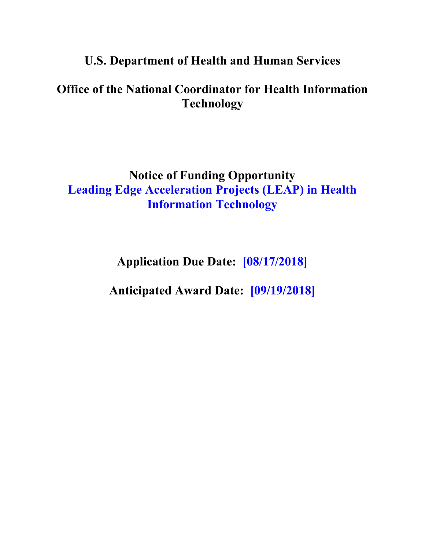## **U.S. Department of Health and Human Services**

# **Office of the National Coordinator for Health Information Technology**

## **Notice of Funding Opportunity Leading Edge Acceleration Projects (LEAP) in Health Information Technology**

**Application Due Date: [08/17/2018]**

**Anticipated Award Date: [09/19/2018]**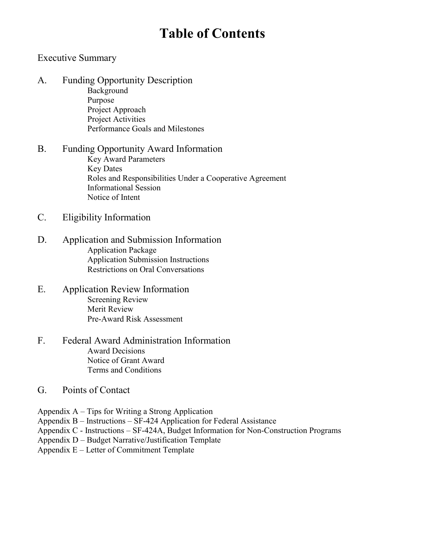# **Table of Contents**

#### [Executive Summary](#page-2-0)

- A. [Funding Opportunity](#page-3-1) Description [Background](#page-3-0)  [Purpose](#page-4-0)  [Project Approach](#page-4-1)  [Project Activities](#page-9-0) [Performance Goals](#page-10-0) and Milestones
- [B. Funding Opportunity Award Information](#page-12-0) [Key Award Parameters](#page-12-0) [Key Dates](#page-14-0) [Roles and Responsibilities Under a Cooperative Agreement](#page-14-0)  [Informational Session](#page-15-0) [Notice of Intent](#page-15-0)
- [C. Eligibility Information](#page-16-0)
- D. [Application and Submission Information](#page-17-0) [Application Package](#page-17-0)  [Application Submission Instructions](#page-24-0)  [Restrictions on Oral Conversations](#page-25-0)
- E. [Application Review Information](#page-26-0) [Screening Review](#page-26-0) [Merit Review](#page-26-0) [Pre-Award Risk Assessment](#page-29-0)
- F. [Federal Award Administration Information](#page-30-0) [Award Decisions](#page-30-0) [Notice of Grant Award](#page-30-0) [Terms and Conditions](#page-31-0)
- G. [Points of Contact](#page-37-0)
- [Appendix A Tips for Writing a Strong Application](#page-39-0)
- [Appendix B Instructions SF-424 Application for Federal Assistance](#page-40-0)
- [Appendix C Instructions SF-424A, Budget Information for Non-Construction Programs](#page-44-0)
- [Appendix D Budget Narrative/Justification Template](#page-49-0)
- [Appendix E Letter of Commitment Template](#page-52-0)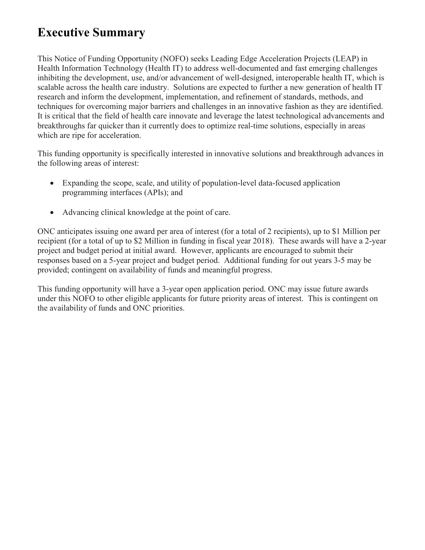# <span id="page-2-0"></span>**Executive Summary**

This Notice of Funding Opportunity (NOFO) seeks Leading Edge Acceleration Projects (LEAP) in Health Information Technology (Health IT) to address well-documented and fast emerging challenges inhibiting the development, use, and/or advancement of well-designed, interoperable health IT, which is scalable across the health care industry. Solutions are expected to further a new generation of health IT research and inform the development, implementation, and refinement of standards, methods, and techniques for overcoming major barriers and challenges in an innovative fashion as they are identified. It is critical that the field of health care innovate and leverage the latest technological advancements and breakthroughs far quicker than it currently does to optimize real-time solutions, especially in areas which are ripe for acceleration.

This funding opportunity is specifically interested in innovative solutions and breakthrough advances in the following areas of interest:

- Expanding the scope, scale, and utility of population-level data-focused application programming interfaces (APIs); and
- Advancing clinical knowledge at the point of care.

ONC anticipates issuing one award per area of interest (for a total of 2 recipients), up to \$1 Million per recipient (for a total of up to \$2 Million in funding in fiscal year 2018). These awards will have a 2-year project and budget period at initial award. However, applicants are encouraged to submit their responses based on a 5-year project and budget period. Additional funding for out years 3-5 may be provided; contingent on availability of funds and meaningful progress.

This funding opportunity will have a 3-year open application period. ONC may issue future awards under this NOFO to other eligible applicants for future priority areas of interest. This is contingent on the availability of funds and ONC priorities.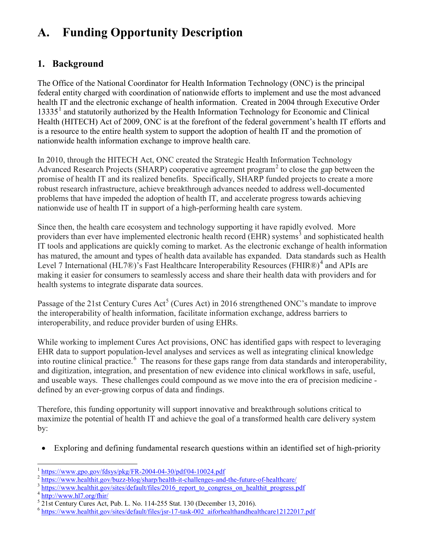# <span id="page-3-1"></span>**A. Funding Opportunity Description**

## <span id="page-3-0"></span>**1. Background**

The Office of the National Coordinator for Health Information Technology (ONC) is the principal federal entity charged with coordination of nationwide efforts to implement and use the most advanced health IT and the electronic exchange of health information. Created in 2004 through Executive Order [1](#page-3-2)3335<sup>1</sup> and statutorily authorized by the Health Information Technology for Economic and Clinical Health (HITECH) Act of 2009, ONC is at the forefront of the federal government's health IT efforts and is a resource to the entire health system to support the adoption of health IT and the promotion of nationwide health information exchange to improve health care.

In 2010, through the HITECH Act, ONC created the Strategic Health Information Technology Advanced Research Projects (SHARP) cooperative agreement program [2](#page-3-3) to close the gap between the promise of health IT and its realized benefits. Specifically, SHARP funded projects to create a more robust research infrastructure, achieve breakthrough advances needed to address well-documented problems that have impeded the adoption of health IT, and accelerate progress towards achieving nationwide use of health IT in support of a high-performing health care system.

Since then, the health care ecosystem and technology supporting it have rapidly evolved. More providers than ever have implemented electronic health record (EHR) systems<sup>[3](#page-3-4)</sup> and sophisticated health IT tools and applications are quickly coming to market. As the electronic exchange of health information has matured, the amount and types of health data available has expanded. Data standards such as Health Level 7 International (HL7®)'s Fast Healthcare Interoperability Resources (FHIR®)<sup>[4](#page-3-5)</sup> and APIs are making it easier for consumers to seamlessly access and share their health data with providers and for health systems to integrate disparate data sources.

Passage of the 21st Century Cures Act<sup>[5](#page-3-6)</sup> (Cures Act) in 2016 strengthened ONC's mandate to improve the interoperability of health information, facilitate information exchange, address barriers to interoperability, and reduce provider burden of using EHRs.

While working to implement Cures Act provisions, ONC has identified gaps with respect to leveraging EHR data to support population-level analyses and services as well as integrating clinical knowledge into routine clinical practice. [6](#page-3-7) The reasons for these gaps range from data standards and interoperability, and digitization, integration, and presentation of new evidence into clinical workflows in safe, useful, and useable ways. These challenges could compound as we move into the era of precision medicine defined by an ever-growing corpus of data and findings.

Therefore, this funding opportunity will support innovative and breakthrough solutions critical to maximize the potential of health IT and achieve the goal of a transformed health care delivery system by:

• Exploring and defining fundamental research questions within an identified set of high-priority

 $\overline{\phantom{a}}$ 

<span id="page-3-2"></span><https://www.gpo.gov/fdsys/pkg/FR-2004-04-30/pdf/04-10024.pdf><br>https://www.healthit.gov/buzz-blog/sharp/health-it-challenges-and-the-future-of-healthcare/<br>https://www.healthit.gov/sites/default/files/2016 report to congress

<span id="page-3-4"></span><span id="page-3-3"></span>

<span id="page-3-7"></span><span id="page-3-6"></span>

<span id="page-3-5"></span> $\frac{4 \text{ http://www.hl7.org/fhir/}}{21 \text{st}$  $\frac{4 \text{ http://www.hl7.org/fhir/}}{21 \text{st}$  $\frac{4 \text{ http://www.hl7.org/fhir/}}{21 \text{st}$  Century Cures Act, Pub. L. No. 114-255 Stat. 130 (December 13, 2016).<br>  $\frac{6 \text{ https://www.healthit.gov/sites/default/files/jsr-17-task-002} \text{ aiforhealthandhealthcare12122017.pdf}}{21 \text{st} \cdot \text{few} \cdot \text{healtht.gov/sites/default/files/jsr-17-task-002} \cdot \text{aiforhealthandhealthcare121220$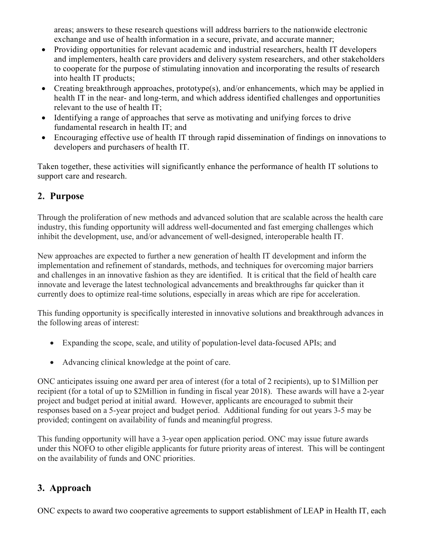areas; answers to these research questions will address barriers to the nationwide electronic exchange and use of health information in a secure, private, and accurate manner;

- Providing opportunities for relevant academic and industrial researchers, health IT developers and implementers, health care providers and delivery system researchers, and other stakeholders to cooperate for the purpose of stimulating innovation and incorporating the results of research into health IT products;
- Creating breakthrough approaches, prototype(s), and/or enhancements, which may be applied in health IT in the near- and long-term, and which address identified challenges and opportunities relevant to the use of health IT;
- Identifying a range of approaches that serve as motivating and unifying forces to drive fundamental research in health IT; and
- Encouraging effective use of health IT through rapid dissemination of findings on innovations to developers and purchasers of health IT.

Taken together, these activities will significantly enhance the performance of health IT solutions to support care and research.

## <span id="page-4-0"></span>**2. Purpose**

Through the proliferation of new methods and advanced solution that are scalable across the health care industry, this funding opportunity will address well-documented and fast emerging challenges which inhibit the development, use, and/or advancement of well-designed, interoperable health IT.

New approaches are expected to further a new generation of health IT development and inform the implementation and refinement of standards, methods, and techniques for overcoming major barriers and challenges in an innovative fashion as they are identified. It is critical that the field of health care innovate and leverage the latest technological advancements and breakthroughs far quicker than it currently does to optimize real-time solutions, especially in areas which are ripe for acceleration.

This funding opportunity is specifically interested in innovative solutions and breakthrough advances in the following areas of interest:

- Expanding the scope, scale, and utility of population-level data-focused APIs; and
- Advancing clinical knowledge at the point of care.

ONC anticipates issuing one award per area of interest (for a total of 2 recipients), up to \$1Million per recipient (for a total of up to \$2Million in funding in fiscal year 2018). These awards will have a 2-year project and budget period at initial award. However, applicants are encouraged to submit their responses based on a 5-year project and budget period. Additional funding for out years 3-5 may be provided; contingent on availability of funds and meaningful progress.

This funding opportunity will have a 3-year open application period. ONC may issue future awards under this NOFO to other eligible applicants for future priority areas of interest. This will be contingent on the availability of funds and ONC priorities.

## <span id="page-4-1"></span>**3. Approach**

ONC expects to award two cooperative agreements to support establishment of LEAP in Health IT, each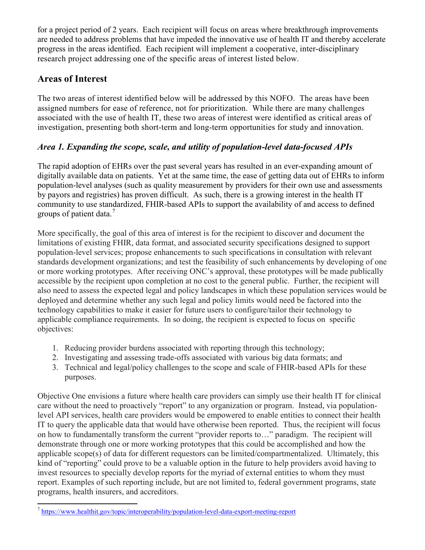for a project period of 2 years. Each recipient will focus on areas where breakthrough improvements are needed to address problems that have impeded the innovative use of health IT and thereby accelerate progress in the areas identified. Each recipient will implement a cooperative, inter-disciplinary research project addressing one of the specific areas of interest listed below.

#### **Areas of Interest**

l

The two areas of interest identified below will be addressed by this NOFO. The areas have been assigned numbers for ease of reference, not for prioritization. While there are many challenges associated with the use of health IT, these two areas of interest were identified as critical areas of investigation, presenting both short-term and long-term opportunities for study and innovation.

## *Area 1. Expanding the scope, scale, and utility of population-level data-focused APIs*

The rapid adoption of EHRs over the past several years has resulted in an ever-expanding amount of digitally available data on patients. Yet at the same time, the ease of getting data out of EHRs to inform population-level analyses (such as quality measurement by providers for their own use and assessments by payors and registries) has proven difficult. As such, there is a growing interest in the health IT community to use standardized, FHIR-based APIs to support the availability of and access to defined groups of patient data.<sup>[7](#page-5-0)</sup>

More specifically, the goal of this area of interest is for the recipient to discover and document the limitations of existing FHIR, data format, and associated security specifications designed to support population-level services; propose enhancements to such specifications in consultation with relevant standards development organizations; and test the feasibility of such enhancements by developing of one or more working prototypes. After receiving ONC's approval, these prototypes will be made publically accessible by the recipient upon completion at no cost to the general public. Further, the recipient will also need to assess the expected legal and policy landscapes in which these population services would be deployed and determine whether any such legal and policy limits would need be factored into the technology capabilities to make it easier for future users to configure/tailor their technology to applicable compliance requirements. In so doing, the recipient is expected to focus on specific objectives:

- 1. Reducing provider burdens associated with reporting through this technology;
- 2. Investigating and assessing trade-offs associated with various big data formats; and
- 3. Technical and legal/policy challenges to the scope and scale of FHIR-based APIs for these purposes.

Objective One envisions a future where health care providers can simply use their health IT for clinical care without the need to proactively "report" to any organization or program. Instead, via populationlevel API services, health care providers would be empowered to enable entities to connect their health IT to query the applicable data that would have otherwise been reported. Thus, the recipient will focus on how to fundamentally transform the current "provider reports to…" paradigm. The recipient will demonstrate through one or more working prototypes that this could be accomplished and how the applicable scope(s) of data for different requestors can be limited/compartmentalized. Ultimately, this kind of "reporting" could prove to be a valuable option in the future to help providers avoid having to invest resources to specially develop reports for the myriad of external entities to whom they must report. Examples of such reporting include, but are not limited to, federal government programs, state programs, health insurers, and accreditors.

<span id="page-5-0"></span> $^7$  https://www.healthit.gov/topic/interoperability/population-level-data-export-meeting-report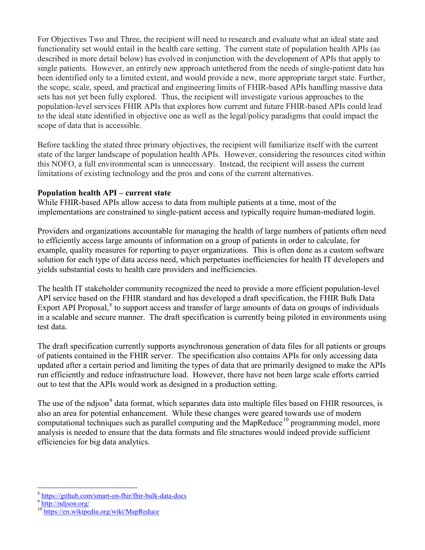For Objectives Two and Three, the recipient will need to research and evaluate what an ideal state and functionality set would entail in the health care setting. The current state of population health APIs (as described in more detail below) has evolved in conjunction with the development of APIs that apply to single patients. However, an entirely new approach untethered from the needs of single-patient data has been identified only to a limited extent, and would provide a new, more appropriate target state. Further, the scope, scale, speed, and practical and engineering limits of FHIR-based APIs handling massive data sets has not yet been fully explored. Thus, the recipient will investigate various approaches to the population-level services FHIR APIs that explores how current and future FHIR-based APIs could lead to the ideal state identified in objective one as well as the legal/policy paradigms that could impact the scope of data that is accessible.

Before tackling the stated three primary objectives, the recipient will familiarize itself with the current state of the larger landscape of population health APIs. However, considering the resources cited within this NOFO, a full environmental scan is unnecessary. Instead, the recipient will assess the current limitations of existing technology and the pros and cons of the current alternatives.

#### **Population health API – current state**

While FHIR-based APIs allow access to data from multiple patients at a time, most of the implementations are constrained to single-patient access and typically require human-mediated login.

Providers and organizations accountable for managing the health of large numbers of patients often need to efficiently access large amounts of information on a group of patients in order to calculate, for example, quality measures for reporting to payer organizations. This is often done as a custom software solution for each type of data access need, which perpetuates inefficiencies for health IT developers and yields substantial costs to health care providers and inefficiencies.

The health IT stakeholder community recognized the need to provide a more efficient population-level API service based on the FHIR standard and has developed a draft specification, the FHIR Bulk Data Export API Proposal,<sup>[8](#page-6-0)</sup> to support access and transfer of large amounts of data on groups of individuals in a scalable and secure manner. The draft specification is currently being piloted in environments using test data.

The draft specification currently supports asynchronous generation of data files for all patients or groups of patients contained in the FHIR server. The specification also contains APIs for only accessing data updated after a certain period and limiting the types of data that are primarily designed to make the APIs run efficiently and reduce infrastructure load. However, there have not been large scale efforts carried out to test that the APIs would work as designed in a production setting.

The use of the ndjson<sup>[9](#page-6-1)</sup> data format, which separates data into multiple files based on FHIR resources, is also an area for potential enhancement. While these changes were geared towards use of modern computational techniques such as parallel computing and the MapReduce<sup>10</sup> programming model, more analysis is needed to ensure that the data formats and file structures would indeed provide sufficient efficiencies for big data analytics.

l

<span id="page-6-0"></span>https://github.com/smart-on-fhir/fhir-bulk-data-docs<br><http://ndjson.org/>

<span id="page-6-1"></span>

<span id="page-6-2"></span><sup>&</sup>lt;sup>10</sup> <https://en.wikipedia.org/wiki/MapReduce>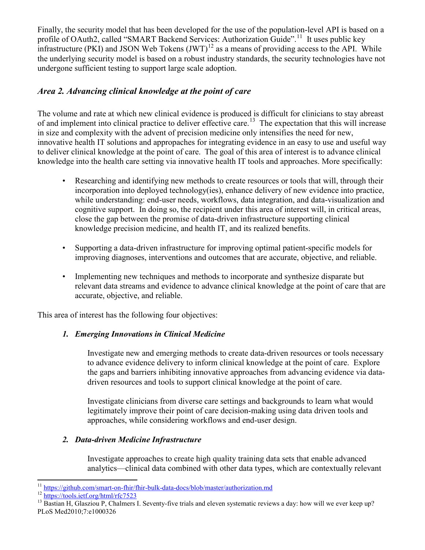Finally, the security model that has been developed for the use of the population-level API is based on a profile of OAuth2, called "SMART Backend Services: Authorization Guide".<sup>11</sup> It uses public key infrastructure (PKI) and JSON Web Tokens  $(JWT)^{12}$  $(JWT)^{12}$  $(JWT)^{12}$  as a means of providing access to the API. While the underlying security model is based on a robust industry standards, the security technologies have not undergone sufficient testing to support large scale adoption.

#### *Area 2. Advancing clinical knowledge at the point of care*

The volume and rate at which new clinical evidence is produced is difficult for clinicians to stay abreast of and implement into clinical practice to deliver effective care.[13](#page-7-2) The expectation that this will increase in size and complexity with the advent of precision medicine only intensifies the need for new, innovative health IT solutions and appropaches for integrating evidence in an easy to use and useful way to deliver clinical knowledge at the point of care. The goal of this area of interest is to advance clinical knowledge into the health care setting via innovative health IT tools and approaches. More specifically:

- Researching and identifying new methods to create resources or tools that will, through their incorporation into deployed technology(ies), enhance delivery of new evidence into practice, while understanding: end-user needs, workflows, data integration, and data-visualization and cognitive support. In doing so, the recipient under this area of interest will, in critical areas, close the gap between the promise of data-driven infrastructure supporting clinical knowledge precision medicine, and health IT, and its realized benefits.
- Supporting a data-driven infrastructure for improving optimal patient-specific models for improving diagnoses, interventions and outcomes that are accurate, objective, and reliable.
- Implementing new techniques and methods to incorporate and synthesize disparate but relevant data streams and evidence to advance clinical knowledge at the point of care that are accurate, objective, and reliable.

This area of interest has the following four objectives:

#### *1. Emerging Innovations in Clinical Medicine*

Investigate new and emerging methods to create data-driven resources or tools necessary to advance evidence delivery to inform clinical knowledge at the point of care. Explore the gaps and barriers inhibiting innovative approaches from advancing evidence via datadriven resources and tools to support clinical knowledge at the point of care.

Investigate clinicians from diverse care settings and backgrounds to learn what would legitimately improve their point of care decision-making using data driven tools and approaches, while considering workflows and end-user design.

#### *2. Data-driven Medicine Infrastructure*

Investigate approaches to create high quality training data sets that enable advanced analytics—clinical data combined with other data types, which are contextually relevant

<span id="page-7-0"></span><sup>&</sup>lt;sup>11</sup> https://github.com/smart-on-fhir/fhir-bulk-data-docs/blob/master/authorization.md

<span id="page-7-2"></span><span id="page-7-1"></span><sup>&</sup>lt;sup>12</sup> <https://tools.ietf.org/html/rfc7523><br><sup>13</sup> Bastian H, Glasziou P, Chalmers I. Seventy-five trials and eleven systematic reviews a day: how will we ever keep up? PLoS Med2010;7:e1000326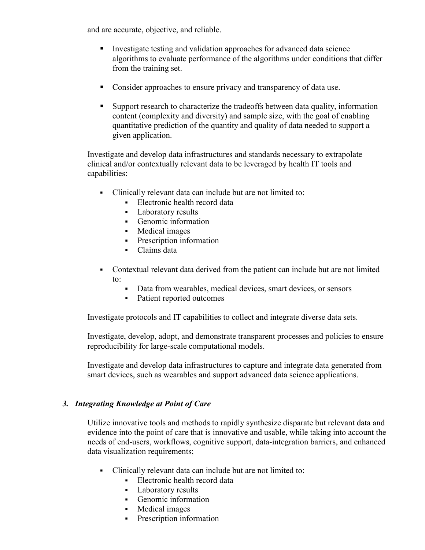and are accurate, objective, and reliable.

- Investigate testing and validation approaches for advanced data science algorithms to evaluate performance of the algorithms under conditions that differ from the training set.
- Consider approaches to ensure privacy and transparency of data use.
- Support research to characterize the tradeoffs between data quality, information content (complexity and diversity) and sample size, with the goal of enabling quantitative prediction of the quantity and quality of data needed to support a given application.

Investigate and develop data infrastructures and standards necessary to extrapolate clinical and/or contextually relevant data to be leveraged by health IT tools and capabilities:

- Clinically relevant data can include but are not limited to:
	- Electronic health record data
	- Laboratory results
	- Genomic information
	- Medical images
	- **Prescription information**
	- Claims data
- Contextual relevant data derived from the patient can include but are not limited to:
	- Data from wearables, medical devices, smart devices, or sensors
	- Patient reported outcomes

Investigate protocols and IT capabilities to collect and integrate diverse data sets.

Investigate, develop, adopt, and demonstrate transparent processes and policies to ensure reproducibility for large-scale computational models.

Investigate and develop data infrastructures to capture and integrate data generated from smart devices, such as wearables and support advanced data science applications.

#### *3. Integrating Knowledge at Point of Care*

Utilize innovative tools and methods to rapidly synthesize disparate but relevant data and evidence into the point of care that is innovative and usable, while taking into account the needs of end-users, workflows, cognitive support, data-integration barriers, and enhanced data visualization requirements;

- Clinically relevant data can include but are not limited to:
	- Electronic health record data
	- Laboratory results
	- Genomic information
	- Medical images
	- Prescription information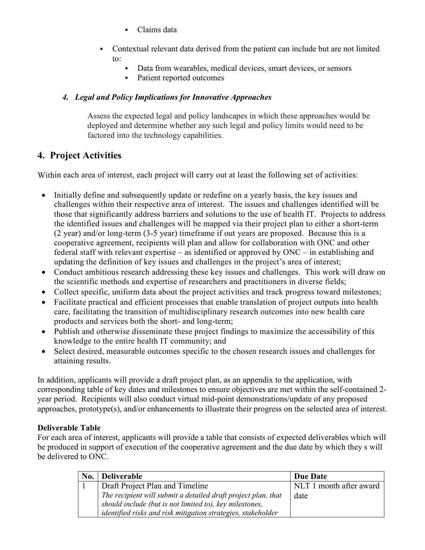- Claims data
- <span id="page-9-0"></span> Contextual relevant data derived from the patient can include but are not limited to:
	- Data from wearables, medical devices, smart devices, or sensors
	- Patient reported outcomes

#### *4. Legal and Policy Implications for Innovative Approaches*

Assess the expected legal and policy landscapes in which these approaches would be deployed and determine whether any such legal and policy limits would need to be factored into the technology capabilities.

## **4. Project Activities**

Within each area of interest, each project will carry out at least the following set of activities:

- Initially define and subsequently update or redefine on a yearly basis, the key issues and challenges within their respective area of interest. The issues and challenges identified will be those that significantly address barriers and solutions to the use of health IT. Projects to address the identified issues and challenges will be mapped via their project plan to either a short-term (2 year) and/or long-term (3-5 year) timeframe if out years are proposed. Because this is a cooperative agreement, recipients will plan and allow for collaboration with ONC and other federal staff with relevant expertise – as identified or approved by ONC – in establishing and updating the definition of key issues and challenges in the project's area of interest;
- Conduct ambitious research addressing these key issues and challenges. This work will draw on the scientific methods and expertise of researchers and practitioners in diverse fields;
- Collect specific, uniform data about the project activities and track progress toward milestones;
- Facilitate practical and efficient processes that enable translation of project outputs into health care, facilitating the transition of multidisciplinary research outcomes into new health care products and services both the short- and long-term;
- Publish and otherwise disseminate these project findings to maximize the accessibility of this knowledge to the entire health IT community; and
- Select desired, measurable outcomes specific to the chosen research issues and challenges for attaining results.

In addition, applicants will provide a draft project plan, as an appendix to the application, with corresponding table of key dates and milestones to ensure objectives are met within the self-contained 2 year period. Recipients will also conduct virtual mid-point demonstrations/update of any proposed approaches, prototype(s), and/or enhancements to illustrate their progress on the selected area of interest.

#### **Deliverable Table**

For each area of interest, applicants will provide a table that consists of expected deliverables which will be produced in support of execution of the cooperative agreement and the due date by which they s will be delivered to ONC.

| No. | <b>Deliverable</b>                                            | Due Date                |
|-----|---------------------------------------------------------------|-------------------------|
|     | Draft Project Plan and Timeline                               | NLT 1 month after award |
|     | The recipient will submit a detailed draft project plan, that | date                    |
|     | should include (but is not limited to), key milestones,       |                         |
|     | identified risks and risk mitigation strategies, stakeholder  |                         |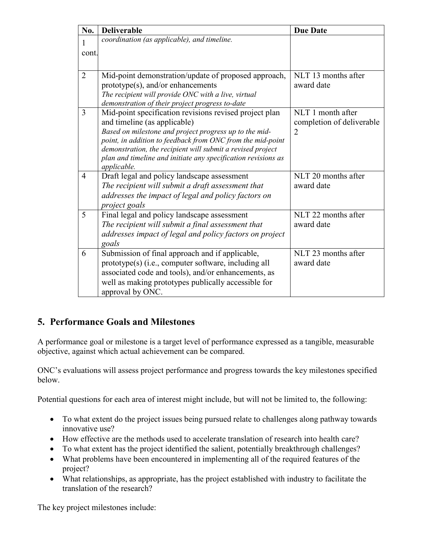<span id="page-10-0"></span>

| No.            | <b>Deliverable</b>                                                                                                                                                                                                                                                                                                                                           | <b>Due Date</b>                                     |
|----------------|--------------------------------------------------------------------------------------------------------------------------------------------------------------------------------------------------------------------------------------------------------------------------------------------------------------------------------------------------------------|-----------------------------------------------------|
| 1              | coordination (as applicable), and timeline.                                                                                                                                                                                                                                                                                                                  |                                                     |
| cont.          |                                                                                                                                                                                                                                                                                                                                                              |                                                     |
|                |                                                                                                                                                                                                                                                                                                                                                              |                                                     |
| $\overline{2}$ | Mid-point demonstration/update of proposed approach,<br>prototype(s), and/or enhancements<br>The recipient will provide ONC with a live, virtual<br>demonstration of their project progress to-date                                                                                                                                                          | NLT 13 months after<br>award date                   |
| 3              | Mid-point specification revisions revised project plan<br>and timeline (as applicable)<br>Based on milestone and project progress up to the mid-<br>point, in addition to feedback from ONC from the mid-point<br>demonstration, the recipient will submit a revised project<br>plan and timeline and initiate any specification revisions as<br>applicable. | NLT 1 month after<br>completion of deliverable<br>2 |
| 4              | Draft legal and policy landscape assessment<br>The recipient will submit a draft assessment that<br>addresses the impact of legal and policy factors on<br>project goals                                                                                                                                                                                     | NLT 20 months after<br>award date                   |
| 5              | Final legal and policy landscape assessment<br>The recipient will submit a final assessment that<br>addresses impact of legal and policy factors on project<br>goals                                                                                                                                                                                         | NLT 22 months after<br>award date                   |
| 6              | Submission of final approach and if applicable,<br>prototype(s) (i.e., computer software, including all<br>associated code and tools), and/or enhancements, as<br>well as making prototypes publically accessible for<br>approval by ONC.                                                                                                                    | NLT 23 months after<br>award date                   |

## **5. Performance Goals and Milestones**

A performance goal or milestone is a target level of performance expressed as a tangible, measurable objective, against which actual achievement can be compared.

ONC's evaluations will assess project performance and progress towards the key milestones specified below.

Potential questions for each area of interest might include, but will not be limited to, the following:

- To what extent do the project issues being pursued relate to challenges along pathway towards innovative use?
- How effective are the methods used to accelerate translation of research into health care?
- To what extent has the project identified the salient, potentially breakthrough challenges?
- What problems have been encountered in implementing all of the required features of the project?
- What relationships, as appropriate, has the project established with industry to facilitate the translation of the research?

The key project milestones include: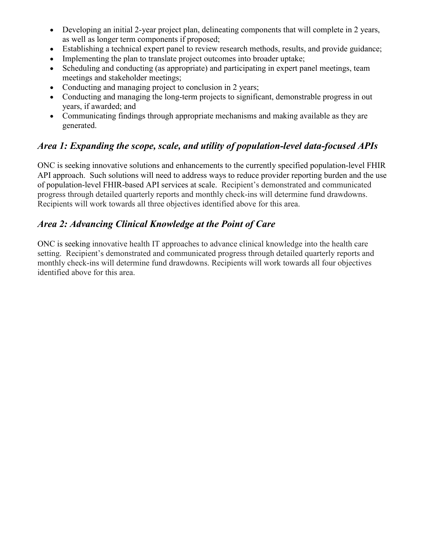- Developing an initial 2-year project plan, delineating components that will complete in 2 years. as well as longer term components if proposed;
- Establishing a technical expert panel to review research methods, results, and provide guidance;
- Implementing the plan to translate project outcomes into broader uptake;
- Scheduling and conducting (as appropriate) and participating in expert panel meetings, team meetings and stakeholder meetings;
- Conducting and managing project to conclusion in 2 years;
- Conducting and managing the long-term projects to significant, demonstrable progress in out years, if awarded; and
- Communicating findings through appropriate mechanisms and making available as they are generated.

## *Area 1: Expanding the scope, scale, and utility of population-level data-focused APIs*

ONC is seeking innovative solutions and enhancements to the currently specified population-level FHIR API approach. Such solutions will need to address ways to reduce provider reporting burden and the use of population-level FHIR-based API services at scale. Recipient's demonstrated and communicated progress through detailed quarterly reports and monthly check-ins will determine fund drawdowns. Recipients will work towards all three objectives identified above for this area.

## *Area 2: Advancing Clinical Knowledge at the Point of Care*

ONC is seeking innovative health IT approaches to advance clinical knowledge into the health care setting. Recipient's demonstrated and communicated progress through detailed quarterly reports and monthly check-ins will determine fund drawdowns. Recipients will work towards all four objectives identified above for this area.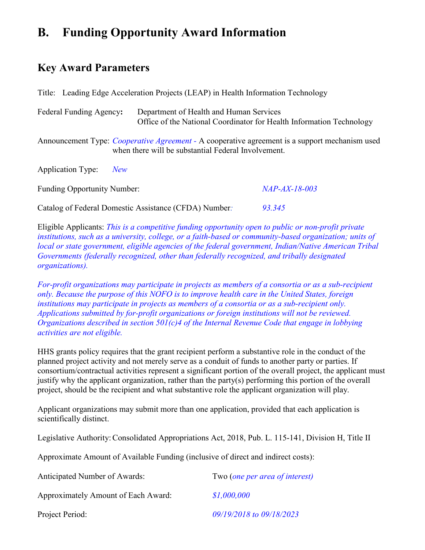# <span id="page-12-0"></span>**B. Funding Opportunity Award Information**

## **Key Award Parameters**

Title: Leading Edge Acceleration Projects (LEAP) in Health Information Technology

Federal Funding Agency**:**Department of Health and Human Services Office of the National Coordinator for Health Information Technology

Announcement Type: *Cooperative Agreement -* A cooperative agreement is a support mechanism used when there will be substantial Federal Involvement.

Application Type: *New*

Funding Opportunity Number: *NAP-AX-18-003*

Catalog of Federal Domestic Assistance (CFDA) Number*: 93.345*

Eligible Applicants: *This is a competitive funding opportunity open to public or non-profit private institutions, such as a university, college, or a faith-based or community-based organization; units of local or state government, eligible agencies of the federal government, Indian/Native American Tribal Governments (federally recognized, other than federally recognized, and tribally designated organizations).* 

*For-profit organizations may participate in projects as members of a consortia or as a sub-recipient only. Because the purpose of this NOFO is to improve health care in the United States, foreign institutions may participate in projects as members of a consortia or as a sub-recipient only. Applications submitted by for-profit organizations or foreign institutions will not be reviewed. Organizations described in section 501(c)4 of the Internal Revenue Code that engage in lobbying activities are not eligible.*

HHS grants policy requires that the grant recipient perform a substantive role in the conduct of the planned project activity and not merely serve as a conduit of funds to another party or parties. If consortium/contractual activities represent a significant portion of the overall project, the applicant must justify why the applicant organization, rather than the party(s) performing this portion of the overall project, should be the recipient and what substantive role the applicant organization will play.

Applicant organizations may submit more than one application, provided that each application is scientifically distinct.

Legislative Authority: Consolidated Appropriations Act, 2018, Pub. L. 115-141, Division H, Title II

Approximate Amount of Available Funding (inclusive of direct and indirect costs) :

| <b>Anticipated Number of Awards:</b> | Two ( <i>one per area of interest</i> ) |
|--------------------------------------|-----------------------------------------|
| Approximately Amount of Each Award:  | \$1,000,000                             |
| Project Period:                      | 09/19/2018 to 09/18/2023                |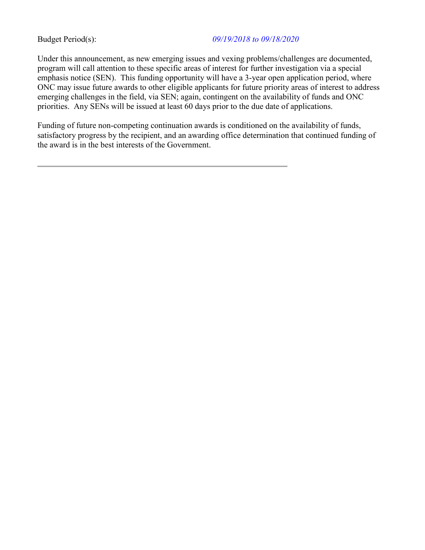#### Budget Period(s): *09/19/2018 to 09/18/2020*

Under this announcement, as new emerging issues and vexing problems/challenges are documented, program will call attention to these specific areas of interest for further investigation via a special emphasis notice (SEN). This funding opportunity will have a 3-year open application period, where ONC may issue future awards to other eligible applicants for future priority areas of interest to address emerging challenges in the field, via SEN; again, contingent on the availability of funds and ONC priorities. Any SENs will be issued at least 60 days prior to the due date of applications.

Funding of future non-competing continuation awards is conditioned on the availability of funds, satisfactory progress by the recipient, and an awarding office determination that continued funding of the award is in the best interests of the Government.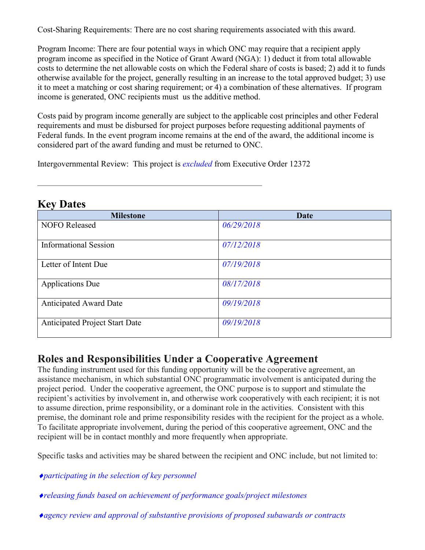<span id="page-14-0"></span>Cost-Sharing Requirements: There are no cost sharing requirements associated with this award.

Program Income: There are four potential ways in which ONC may require that a recipient apply program income as specified in the Notice of Grant Award (NGA): 1) deduct it from total allowable costs to determine the net allowable costs on which the Federal share of costs is based; 2) add it to funds otherwise available for the project, generally resulting in an increase to the total approved budget; 3) use it to meet a matching or cost sharing requirement; or 4) a combination of these alternatives. If program income is generated, ONC recipients must us the additive method.

Costs paid by program income generally are subject to the applicable cost principles and other Federal requirements and must be disbursed for project purposes before requesting additional payments of Federal funds. In the event program income remains at the end of the award, the additional income is considered part of the award funding and must be returned to ONC.

Intergovernmental Review: This project is *excluded* from Executive Order 12372

| <b>Milestone</b>                      | Date       |
|---------------------------------------|------------|
| <b>NOFO</b> Released                  | 06/29/2018 |
|                                       |            |
| <b>Informational Session</b>          | 07/12/2018 |
| Letter of Intent Due                  | 07/19/2018 |
|                                       |            |
| <b>Applications Due</b>               | 08/17/2018 |
| <b>Anticipated Award Date</b>         | 09/19/2018 |
|                                       |            |
| <b>Anticipated Project Start Date</b> | 09/19/2018 |
|                                       |            |

## **Key Dates**

## **Roles and Responsibilities Under a Cooperative Agreement**

The funding instrument used for this funding opportunity will be the cooperative agreement, an assistance mechanism, in which substantial ONC programmatic involvement is anticipated during the project period. Under the cooperative agreement, the ONC purpose is to support and stimulate the recipient's activities by involvement in, and otherwise work cooperatively with each recipient; it is not to assume direction, prime responsibility, or a dominant role in the activities. Consistent with this premise, the dominant role and prime responsibility resides with the recipient for the project as a whole. To facilitate appropriate involvement, during the period of this cooperative agreement, ONC and the recipient will be in contact monthly and more frequently when appropriate.

Specific tasks and activities may be shared between the recipient and ONC include, but not limited to:

♦*participating in the selection of key personnel* 

- ♦*releasing funds based on achievement of performance goals/project milestones*
- ♦*agency review and approval of substantive provisions of proposed subawards or contracts*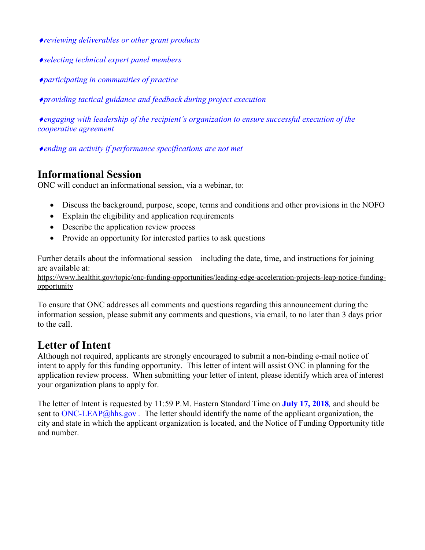<span id="page-15-0"></span>♦*reviewing deliverables or other grant products* 

- ♦*selecting technical expert panel members*
- ♦*participating in communities of practice*

♦*providing tactical guidance and feedback during project execution* 

♦*engaging with leadership of the recipient's organization to ensure successful execution of the cooperative agreement* 

♦*ending an activity if performance specifications are not met* 

## **Informational Session**

ONC will conduct an informational session, via a webinar, to:

- Discuss the background, purpose, scope, terms and conditions and other provisions in the NOFO
- Explain the eligibility and application requirements
- Describe the application review process
- Provide an opportunity for interested parties to ask questions

Further details about the informational session – including the date, time, and instructions for joining – are available at:

[https://www.healthit.gov/topic/onc-funding-opportunities/leading-edge-acceleration-projects-leap-notice-funding](https://www.healthit.gov/topic/onc-funding-opportunities/leading-edge-acceleration-projects-leap-notice-funding-opportunity)[opportunity](https://www.healthit.gov/topic/onc-funding-opportunities/leading-edge-acceleration-projects-leap-notice-funding-opportunity) 

To ensure that ONC addresses all comments and questions regarding this announcement during the information session, please submit any comments and questions, via email, to no later than 3 days prior to the call.

## **Letter of Intent**

Although not required, applicants are strongly encouraged to submit a non-binding e-mail notice of intent to apply for this funding opportunity. This letter of intent will assist ONC in planning for the application review process. When submitting your letter of intent, please identify which area of interest your organization plans to apply for.

The letter of Intent is requested by 11:59 P.M. Eastern Standard Time on **July 17, 2018***,* and should be sent to [ONC-LEAP@hhs.gov](mailto:onc-leap@hhs.gov) *.* The letter should identify the name of the applicant organization, the city and state in which the applicant organization is located, and the Notice of Funding Opportunity title and number.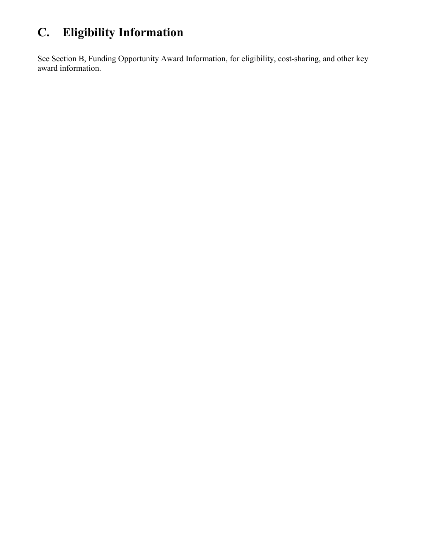# <span id="page-16-0"></span>**C. Eligibility Information**

See Section B, Funding Opportunity Award Information, for eligibility, cost-sharing, and other key award information.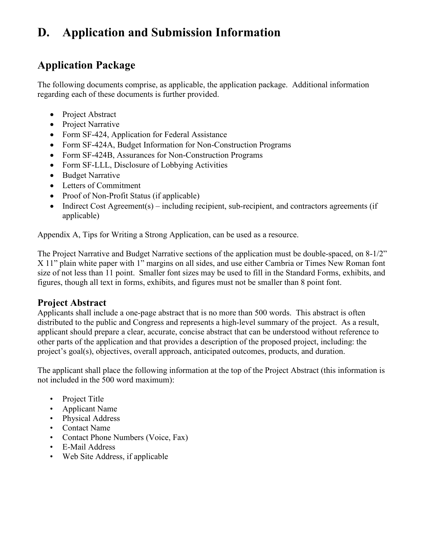# <span id="page-17-0"></span>**D. Application and Submission Information**

## **Application Package**

The following documents comprise, as applicable, the application package. Additional information regarding each of these documents is further provided.

- Project Abstract
- Project Narrative
- Form SF-424, Application for Federal Assistance
- Form SF-424A, Budget Information for Non-Construction Programs
- Form SF-424B, Assurances for Non-Construction Programs
- Form SF-LLL, Disclosure of Lobbying Activities
- Budget Narrative
- Letters of Commitment
- Proof of Non-Profit Status (if applicable)
- Indirect Cost Agreement(s) including recipient, sub-recipient, and contractors agreements (if applicable)

Appendix A, Tips for Writing a Strong Application, can be used as a resource.

The Project Narrative and Budget Narrative sections of the application must be double-spaced, on 8-1/2" X 11" plain white paper with 1" margins on all sides, and use either Cambria or Times New Roman font size of not less than 11 point. Smaller font sizes may be used to fill in the Standard Forms, exhibits, and figures, though all text in forms, exhibits, and figures must not be smaller than 8 point font.

## **Project Abstract**

Applicants shall include a one-page abstract that is no more than 500 words. This abstract is often distributed to the public and Congress and represents a high-level summary of the project. As a result, applicant should prepare a clear, accurate, concise abstract that can be understood without reference to other parts of the application and that provides a description of the proposed project, including: the project's goal(s), objectives, overall approach, anticipated outcomes, products, and duration.

The applicant shall place the following information at the top of the Project Abstract (this information is not included in the 500 word maximum):

- Project Title
- Applicant Name
- Physical Address
- Contact Name
- Contact Phone Numbers (Voice, Fax)
- E-Mail Address
- Web Site Address, if applicable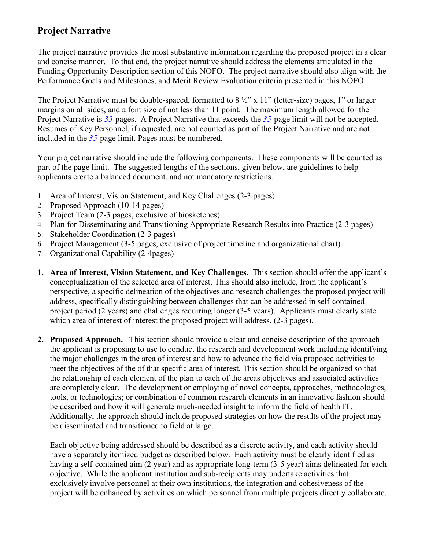## **Project Narrative**

The project narrative provides the most substantive information regarding the proposed project in a clear and concise manner. To that end, the project narrative should address the elements articulated in the Funding Opportunity Description section of this NOFO. The project narrative should also align with the Performance Goals and Milestones, and Merit Review Evaluation criteria presented in this NOFO.

The Project Narrative must be double-spaced, formatted to 8 ½" x 11" (letter-size) pages, 1" or larger margins on all sides, and a font size of not less than 11 point. The maximum length allowed for the Project Narrative is *35*-pages. A Project Narrative that exceeds the *35*-page limit will not be accepted. Resumes of Key Personnel, if requested, are not counted as part of the Project Narrative and are not included in the *35*-page limit. Pages must be numbered.

Your project narrative should include the following components. These components will be counted as part of the page limit. The suggested lengths of the sections, given below, are guidelines to help applicants create a balanced document, and not mandatory restrictions.

- 1. Area of Interest, Vision Statement, and Key Challenges (2-3 pages)
- 2. Proposed Approach (10-14 pages)
- 3. Project Team (2-3 pages, exclusive of biosketches)
- 4. Plan for Disseminating and Transitioning Appropriate Research Results into Practice (2-3 pages)
- 5. Stakeholder Coordination (2-3 pages)
- 6. Project Management (3-5 pages, exclusive of project timeline and organizational chart)
- 7. Organizational Capability (2-4pages)
- **1. Area of Interest, Vision Statement, and Key Challenges.** This section should offer the applicant's conceptualization of the selected area of interest. This should also include, from the applicant's perspective, a specific delineation of the objectives and research challenges the proposed project will address, specifically distinguishing between challenges that can be addressed in self-contained project period (2 years) and challenges requiring longer (3-5 years). Applicants must clearly state which area of interest of interest the proposed project will address.  $(2-3$  pages).
- **2. Proposed Approach.** This section should provide a clear and concise description of the approach the applicant is proposing to use to conduct the research and development work including identifying the major challenges in the area of interest and how to advance the field via proposed activities to meet the objectives of the of that specific area of interest. This section should be organized so that the relationship of each element of the plan to each of the areas objectives and associated activities are completely clear. The development or employing of novel concepts, approaches, methodologies, tools, or technologies; or combination of common research elements in an innovative fashion should be described and how it will generate much-needed insight to inform the field of health IT. Additionally, the approach should include proposed strategies on how the results of the project may be disseminated and transitioned to field at large.

Each objective being addressed should be described as a discrete activity, and each activity should have a separately itemized budget as described below. Each activity must be clearly identified as having a self-contained aim (2 year) and as appropriate long-term (3-5 year) aims delineated for each objective. While the applicant institution and sub-recipients may undertake activities that exclusively involve personnel at their own institutions, the integration and cohesiveness of the project will be enhanced by activities on which personnel from multiple projects directly collaborate.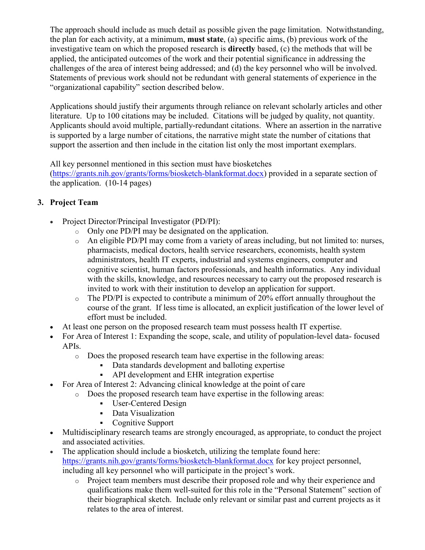The approach should include as much detail as possible given the page limitation. Notwithstanding, the plan for each activity, at a minimum, **must state**, (a) specific aims, (b) previous work of the investigative team on which the proposed research is **directly** based, (c) the methods that will be applied, the anticipated outcomes of the work and their potential significance in addressing the challenges of the area of interest being addressed; and (d) the key personnel who will be involved. Statements of previous work should not be redundant with general statements of experience in the "organizational capability" section described below.

Applications should justify their arguments through reliance on relevant scholarly articles and other literature. Up to 100 citations may be included. Citations will be judged by quality, not quantity. Applicants should avoid multiple, partially-redundant citations. Where an assertion in the narrative is supported by a large number of citations, the narrative might state the number of citations that support the assertion and then include in the citation list only the most important exemplars.

All key personnel mentioned in this section must have biosketches

[\(https://grants.nih.gov/grants/forms/biosketch-blankformat.docx\)](https://grants.nih.gov/grants/forms/biosketch-blankformat.docx) provided in a separate section of the application. (10-14 pages)

#### **3. Project Team**

- Project Director/Principal Investigator (PD/PI):
	- o Only one PD/PI may be designated on the application.
	- o An eligible PD/PI may come from a variety of areas including, but not limited to: nurses, pharmacists, medical doctors, health service researchers, economists, health system administrators, health IT experts, industrial and systems engineers, computer and cognitive scientist, human factors professionals, and health informatics. Any individual with the skills, knowledge, and resources necessary to carry out the proposed research is invited to work with their institution to develop an application for support.
	- o The PD/PI is expected to contribute a minimum of 20% effort annually throughout the course of the grant. If less time is allocated, an explicit justification of the lower level of effort must be included.
- At least one person on the proposed research team must possess health IT expertise.
- For Area of Interest 1: Expanding the scope, scale, and utility of population-level data- focused APIs.
	- o Does the proposed research team have expertise in the following areas:
		- Data standards development and balloting expertise
			- API development and EHR integration expertise
- For Area of Interest 2: Advancing clinical knowledge at the point of care
	- o Does the proposed research team have expertise in the following areas:
		- User-Centered Design
		- Data Visualization
		- Cognitive Support
- Multidisciplinary research teams are strongly encouraged, as appropriate, to conduct the project and associated activities.
- The application should include a biosketch, utilizing the template found here: <https://grants.nih.gov/grants/forms/biosketch-blankformat.docx>for key project personnel, including all key personnel who will participate in the project's work.
	- o Project team members must describe their proposed role and why their experience and qualifications make them well-suited for this role in the "Personal Statement" section of their biographical sketch. Include only relevant or similar past and current projects as it relates to the area of interest.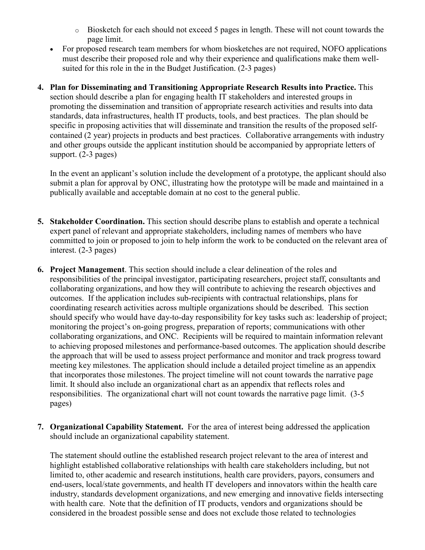- o Biosketch for each should not exceed 5 pages in length. These will not count towards the page limit.
- For proposed research team members for whom biosketches are not required, NOFO applications must describe their proposed role and why their experience and qualifications make them wellsuited for this role in the in the Budget Justification. (2-3 pages)
- **4. Plan for Disseminating and Transitioning Appropriate Research Results into Practice.** This section should describe a plan for engaging health IT stakeholders and interested groups in promoting the dissemination and transition of appropriate research activities and results into data standards, data infrastructures, health IT products, tools, and best practices. The plan should be specific in proposing activities that will disseminate and transition the results of the proposed selfcontained (2 year) projects in products and best practices. Collaborative arrangements with industry and other groups outside the applicant institution should be accompanied by appropriate letters of support. (2-3 pages)

In the event an applicant's solution include the development of a prototype, the applicant should also submit a plan for approval by ONC, illustrating how the prototype will be made and maintained in a publically available and acceptable domain at no cost to the general public.

- **5. Stakeholder Coordination.** This section should describe plans to establish and operate a technical expert panel of relevant and appropriate stakeholders, including names of members who have committed to join or proposed to join to help inform the work to be conducted on the relevant area of interest. (2-3 pages)
- **6. Project Management**. This section should include a clear delineation of the roles and responsibilities of the principal investigator, participating researchers, project staff, consultants and collaborating organizations, and how they will contribute to achieving the research objectives and outcomes. If the application includes sub-recipients with contractual relationships, plans for coordinating research activities across multiple organizations should be described. This section should specify who would have day-to-day responsibility for key tasks such as: leadership of project; monitoring the project's on-going progress, preparation of reports; communications with other collaborating organizations, and ONC. Recipients will be required to maintain information relevant to achieving proposed milestones and performance-based outcomes. The application should describe the approach that will be used to assess project performance and monitor and track progress toward meeting key milestones. The application should include a detailed project timeline as an appendix that incorporates those milestones. The project timeline will not count towards the narrative page limit. It should also include an organizational chart as an appendix that reflects roles and responsibilities. The organizational chart will not count towards the narrative page limit. (3-5 pages)
- **7. Organizational Capability Statement.** For the area of interest being addressed the application should include an organizational capability statement.

The statement should outline the established research project relevant to the area of interest and highlight established collaborative relationships with health care stakeholders including, but not limited to, other academic and research institutions, health care providers, payors, consumers and end-users, local/state governments, and health IT developers and innovators within the health care industry, standards development organizations, and new emerging and innovative fields intersecting with health care. Note that the definition of IT products, vendors and organizations should be considered in the broadest possible sense and does not exclude those related to technologies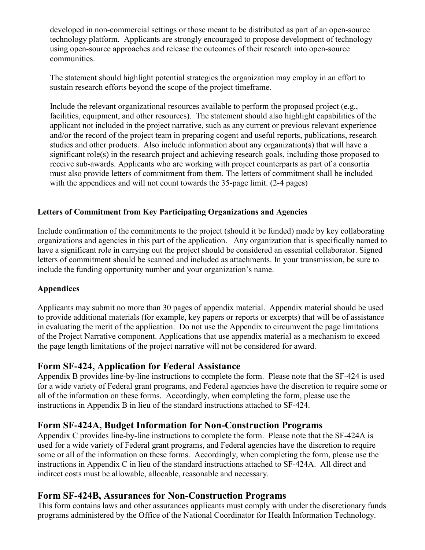developed in non-commercial settings or those meant to be distributed as part of an open-source technology platform. Applicants are strongly encouraged to propose development of technology using open-source approaches and release the outcomes of their research into open-source communities.

The statement should highlight potential strategies the organization may employ in an effort to sustain research efforts beyond the scope of the project timeframe.

Include the relevant organizational resources available to perform the proposed project (e.g., facilities, equipment, and other resources). The statement should also highlight capabilities of the applicant not included in the project narrative, such as any current or previous relevant experience and/or the record of the project team in preparing cogent and useful reports, publications, research studies and other products. Also include information about any organization(s) that will have a significant role(s) in the research project and achieving research goals, including those proposed to receive sub-awards. Applicants who are working with project counterparts as part of a consortia must also provide letters of commitment from them. The letters of commitment shall be included with the appendices and will not count towards the 35-page limit. (2-4 pages)

#### **Letters of Commitment from Key Participating Organizations and Agencies**

Include confirmation of the commitments to the project (should it be funded) made by key collaborating organizations and agencies in this part of the application. Any organization that is specifically named to have a significant role in carrying out the project should be considered an essential collaborator. Signed letters of commitment should be scanned and included as attachments. In your transmission, be sure to include the funding opportunity number and your organization's name.

#### **Appendices**

Applicants may submit no more than 30 pages of appendix material. Appendix material should be used to provide additional materials (for example, key papers or reports or excerpts) that will be of assistance in evaluating the merit of the application. Do not use the Appendix to circumvent the page limitations of the Project Narrative component. Applications that use appendix material as a mechanism to exceed the page length limitations of the project narrative will not be considered for award.

#### **Form SF-424, Application for Federal Assistance**

Appendix B provides line-by-line instructions to complete the form. Please note that the SF-424 is used for a wide variety of Federal grant programs, and Federal agencies have the discretion to require some or all of the information on these forms. Accordingly, when completing the form, please use the instructions in Appendix B in lieu of the standard instructions attached to SF-424.

#### **Form SF-424A, Budget Information for Non-Construction Programs**

Appendix C provides line-by-line instructions to complete the form. Please note that the SF-424A is used for a wide variety of Federal grant programs, and Federal agencies have the discretion to require some or all of the information on these forms. Accordingly, when completing the form, please use the instructions in Appendix C in lieu of the standard instructions attached to SF-424A. All direct and indirect costs must be allowable, allocable, reasonable and necessary.

#### **Form SF-424B, Assurances for Non-Construction Programs**

This form contains laws and other assurances applicants must comply with under the discretionary funds programs administered by the Office of the National Coordinator for Health Information Technology.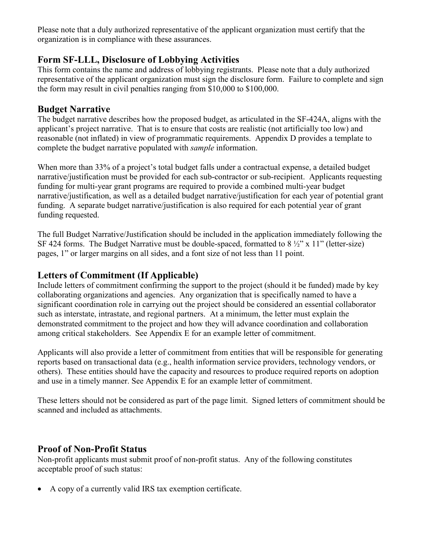Please note that a duly authorized representative of the applicant organization must certify that the organization is in compliance with these assurances.

## **Form SF-LLL, Disclosure of Lobbying Activities**

This form contains the name and address of lobbying registrants. Please note that a duly authorized representative of the applicant organization must sign the disclosure form. Failure to complete and sign the form may result in civil penalties ranging from \$10,000 to \$100,000.

#### **Budget Narrative**

The budget narrative describes how the proposed budget, as articulated in the SF-424A, aligns with the applicant's project narrative. That is to ensure that costs are realistic (not artificially too low) and reasonable (not inflated) in view of programmatic requirements. Appendix D provides a template to complete the budget narrative populated with *sample* information.

When more than 33% of a project's total budget falls under a contractual expense, a detailed budget narrative/justification must be provided for each sub-contractor or sub-recipient. Applicants requesting funding for multi-year grant programs are required to provide a combined multi-year budget narrative/justification, as well as a detailed budget narrative/justification for each year of potential grant funding. A separate budget narrative/justification is also required for each potential year of grant funding requested.

The full Budget Narrative/Justification should be included in the application immediately following the SF 424 forms. The Budget Narrative must be double-spaced, formatted to  $8\frac{1}{2}$ " x 11" (letter-size) pages, 1" or larger margins on all sides, and a font size of not less than 11 point.

#### **Letters of Commitment (If Applicable)**

Include letters of commitment confirming the support to the project (should it be funded) made by key collaborating organizations and agencies. Any organization that is specifically named to have a significant coordination role in carrying out the project should be considered an essential collaborator such as interstate, intrastate, and regional partners. At a minimum, the letter must explain the demonstrated commitment to the project and how they will advance coordination and collaboration among critical stakeholders. See Appendix E for an example letter of commitment.

Applicants will also provide a letter of commitment from entities that will be responsible for generating reports based on transactional data (e.g., health information service providers, technology vendors, or others). These entities should have the capacity and resources to produce required reports on adoption and use in a timely manner. See Appendix E for an example letter of commitment.

These letters should not be considered as part of the page limit. Signed letters of commitment should be scanned and included as attachments.

#### **Proof of Non-Profit Status**

Non-profit applicants must submit proof of non-profit status. Any of the following constitutes acceptable proof of such status:

• A copy of a currently valid IRS tax exemption certificate.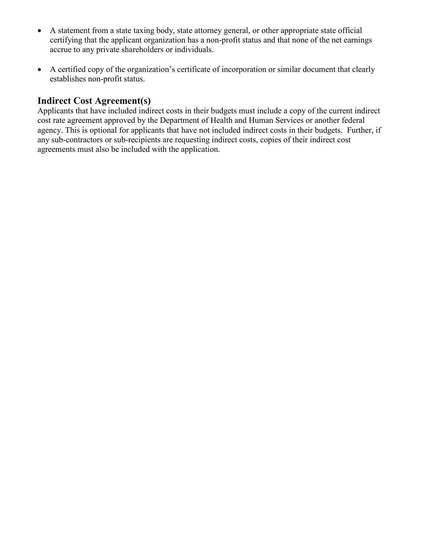- A statement from a state taxing body, state attorney general, or other appropriate state official certifying that the applicant organization has a non-profit status and that none of the net earnings accrue to any private shareholders or individuals.
- A certified copy of the organization's certificate of incorporation or similar document that clearly establishes non-profit status.

### **Indirect Cost Agreement(s)**

Applicants that have included indirect costs in their budgets must include a copy of the current indirect cost rate agreement approved by the Department of Health and Human Services or another federal agency. This is optional for applicants that have not included indirect costs in their budgets. Further, if any sub-contractors or sub-recipients are requesting indirect costs, copies of their indirect cost agreements must also be included with the application.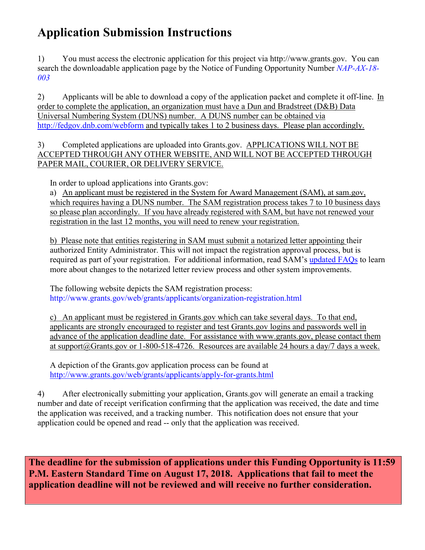# <span id="page-24-0"></span>**Application Submission Instructions**

1) You must access the electronic application for this project via http://www.grants.gov. You can search the downloadable application page by the Notice of Funding Opportunity Number *NAP-AX-18- 003*

2) Applicants will be able to download a copy of the application packet and complete it off-line. In order to complete the application, an organization must have a Dun and Bradstreet (D&B) Data Universal Numbering System (DUNS) number. A DUNS number can be obtained via <http://fedgov.dnb.com/webform> and typically takes 1 to 2 business days. Please plan accordingly.

3) Completed applications are uploaded into Grants.gov. APPLICATIONS WILL NOT BE ACCEPTED THROUGH ANY OTHER WEBSITE, AND WILL NOT BE ACCEPTED THROUGH PAPER MAIL, COURIER, OR DELIVERY SERVICE.

In order to upload applications into Grants.gov:

a) An applicant must be registered in the System for Award Management (SAM), at sam.gov, which requires having a DUNS number. The SAM registration process takes 7 to 10 business days so please plan accordingly. If you have already registered with SAM, but have not renewed your registration in the last 12 months, you will need to renew your registration.

b) Please note that entities registering in SAM must submit a notarized letter appointing their authorized Entity Administrator. This will not impact the registration approval process, but is required as part of your registration. For additional information, read SAM's [updated FAQs](https://www.gsa.gov/about-us/organization/federal-acquisition-service/office-of-systems-management/integrated-award-environment-iae/sam-update) to learn more about changes to the notarized letter review process and other system improvements.

The following website depicts the SAM registration process: <http://www.grants.gov/web/grants/applicants/organization-registration.html>

c) An applicant must be registered in Grants.gov which can take several days. To that end, applicants are strongly encouraged to register and test Grants.gov logins and passwords well in advance of the application deadline date. For assistance with www.grants.gov, please contact them at [support@Grants.gov](mailto:support@grants.gov) or 1-800-518-4726. Resources are available 24 hours a day/7 days a week.

A depiction of the Grants.gov application process can be found at <http://www.grants.gov/web/grants/applicants/apply-for-grants.html>

4) After electronically submitting your application, Grants.gov will generate an email a tracking number and date of receipt verification confirming that the application was received, the date and time the application was received, and a tracking number. This notification does not ensure that your application could be opened and read -- only that the application was received.

**The deadline for the submission of applications under this Funding Opportunity is 11:59 P.M. Eastern Standard Time on August 17, 2018. Applications that fail to meet the application deadline will not be reviewed and will receive no further consideration.**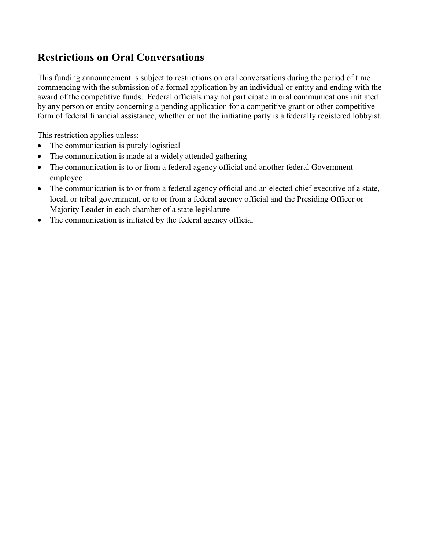## <span id="page-25-0"></span>**Restrictions on Oral Conversations**

This funding announcement is subject to restrictions on oral conversations during the period of time commencing with the submission of a formal application by an individual or entity and ending with the award of the competitive funds. Federal officials may not participate in oral communications initiated by any person or entity concerning a pending application for a competitive grant or other competitive form of federal financial assistance, whether or not the initiating party is a federally registered lobbyist.

This restriction applies unless:

- The communication is purely logistical
- The communication is made at a widely attended gathering
- The communication is to or from a federal agency official and another federal Government employee
- The communication is to or from a federal agency official and an elected chief executive of a state, local, or tribal government, or to or from a federal agency official and the Presiding Officer or Majority Leader in each chamber of a state legislature
- The communication is initiated by the federal agency official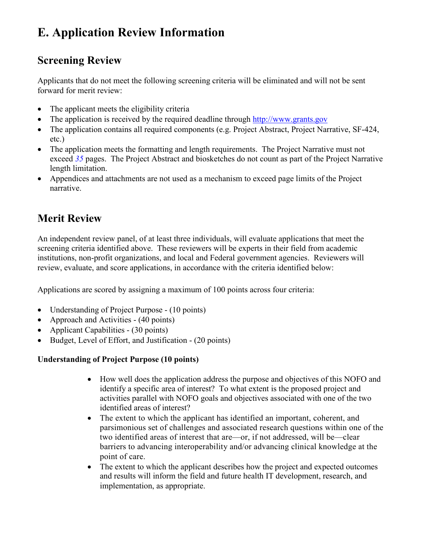# <span id="page-26-0"></span>**E. Application Review Information**

## **Screening Review**

Applicants that do not meet the following screening criteria will be eliminated and will not be sent forward for merit review:

- The applicant meets the eligibility criteria
- The application is received by the required deadline through [http://www.grants.gov](http://www.grants.gov/)
- The application contains all required components (e.g. Project Abstract, Project Narrative, SF-424, etc.)
- The application meets the formatting and length requirements. The Project Narrative must not exceed *35* pages. The Project Abstract and biosketches do not count as part of the Project Narrative length limitation.
- Appendices and attachments are not used as a mechanism to exceed page limits of the Project narrative.

## **Merit Review**

An independent review panel, of at least three individuals, will evaluate applications that meet the screening criteria identified above. These reviewers will be experts in their field from academic institutions, non-profit organizations, and local and Federal government agencies. Reviewers will review, evaluate, and score applications, in accordance with the criteria identified below:

Applications are scored by assigning a maximum of 100 points across four criteria:

- Understanding of Project Purpose (10 points)
- Approach and Activities (40 points)
- Applicant Capabilities (30 points)
- Budget, Level of Effort, and Justification (20 points)

#### **Understanding of Project Purpose (10 points)**

- How well does the application address the purpose and objectives of this NOFO and identify a specific area of interest? To what extent is the proposed project and activities parallel with NOFO goals and objectives associated with one of the two identified areas of interest?
- The extent to which the applicant has identified an important, coherent, and parsimonious set of challenges and associated research questions within one of the two identified areas of interest that are—or, if not addressed, will be—clear barriers to advancing interoperability and/or advancing clinical knowledge at the point of care.
- The extent to which the applicant describes how the project and expected outcomes and results will inform the field and future health IT development, research, and implementation, as appropriate.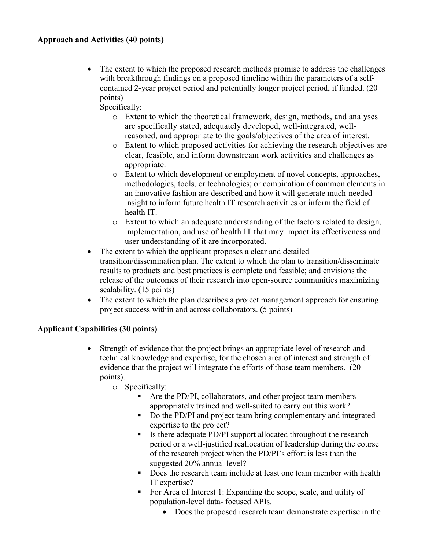• The extent to which the proposed research methods promise to address the challenges with breakthrough findings on a proposed timeline within the parameters of a selfcontained 2-year project period and potentially longer project period, if funded. (20 points)

Specifically:

- o Extent to which the theoretical framework, design, methods, and analyses are specifically stated, adequately developed, well-integrated, wellreasoned, and appropriate to the goals/objectives of the area of interest.
- o Extent to which proposed activities for achieving the research objectives are clear, feasible, and inform downstream work activities and challenges as appropriate.
- o Extent to which development or employment of novel concepts, approaches, methodologies, tools, or technologies; or combination of common elements in an innovative fashion are described and how it will generate much-needed insight to inform future health IT research activities or inform the field of health IT.
- o Extent to which an adequate understanding of the factors related to design, implementation, and use of health IT that may impact its effectiveness and user understanding of it are incorporated.
- The extent to which the applicant proposes a clear and detailed transition/dissemination plan. The extent to which the plan to transition/disseminate results to products and best practices is complete and feasible; and envisions the release of the outcomes of their research into open-source communities maximizing scalability. (15 points)
- The extent to which the plan describes a project management approach for ensuring project success within and across collaborators. (5 points)

#### **Applicant Capabilities (30 points)**

- Strength of evidence that the project brings an appropriate level of research and technical knowledge and expertise, for the chosen area of interest and strength of evidence that the project will integrate the efforts of those team members. (20 points).
	- o Specifically:
		- Are the PD/PI, collaborators, and other project team members appropriately trained and well-suited to carry out this work?
		- Do the PD/PI and project team bring complementary and integrated expertise to the project?
		- Is there adequate PD/PI support allocated throughout the research period or a well-justified reallocation of leadership during the course of the research project when the PD/PI's effort is less than the suggested 20% annual level?
		- Does the research team include at least one team member with health IT expertise?
		- For Area of Interest 1: Expanding the scope, scale, and utility of population-level data- focused APIs.
			- Does the proposed research team demonstrate expertise in the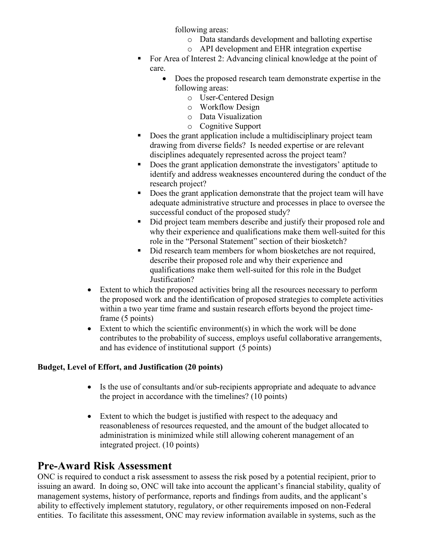following areas:

- o Data standards development and balloting expertise
- o API development and EHR integration expertise
- For Area of Interest 2: Advancing clinical knowledge at the point of care.
	- Does the proposed research team demonstrate expertise in the following areas:
		- o User-Centered Design
		- o Workflow Design
		- o Data Visualization
		- o Cognitive Support
- Does the grant application include a multidisciplinary project team drawing from diverse fields? Is needed expertise or are relevant disciplines adequately represented across the project team?
- Does the grant application demonstrate the investigators' aptitude to identify and address weaknesses encountered during the conduct of the research project?
- Does the grant application demonstrate that the project team will have adequate administrative structure and processes in place to oversee the successful conduct of the proposed study?
- Did project team members describe and justify their proposed role and why their experience and qualifications make them well-suited for this role in the "Personal Statement" section of their biosketch?
- Did research team members for whom biosketches are not required, describe their proposed role and why their experience and qualifications make them well-suited for this role in the Budget Justification?
- Extent to which the proposed activities bring all the resources necessary to perform the proposed work and the identification of proposed strategies to complete activities within a two year time frame and sustain research efforts beyond the project timeframe (5 points)
- Extent to which the scientific environment(s) in which the work will be done contributes to the probability of success, employs useful collaborative arrangements, and has evidence of institutional support (5 points)

#### **Budget, Level of Effort, and Justification (20 points)**

- Is the use of consultants and/or sub-recipients appropriate and adequate to advance the project in accordance with the timelines? (10 points)
- Extent to which the budget is justified with respect to the adequacy and reasonableness of resources requested, and the amount of the budget allocated to administration is minimized while still allowing coherent management of an integrated project. (10 points)

## **Pre-Award Risk Assessment**

ONC is required to conduct a risk assessment to assess the risk posed by a potential recipient, prior to issuing an award. In doing so, ONC will take into account the applicant's financial stability, quality of management systems, history of performance, reports and findings from audits, and the applicant's ability to effectively implement statutory, regulatory, or other requirements imposed on non-Federal entities. To facilitate this assessment, ONC may review information available in systems, such as the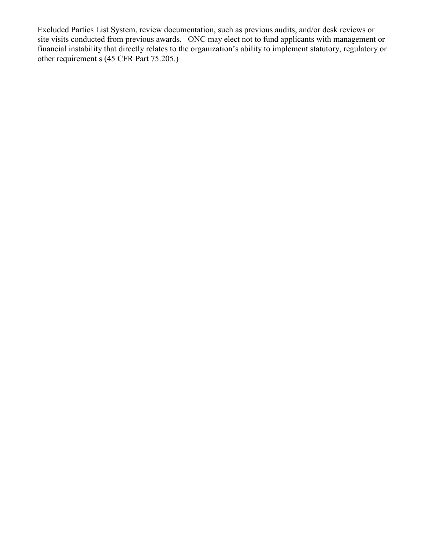<span id="page-29-0"></span>Excluded Parties List System, review documentation, such as previous audits, and/or desk reviews or site visits conducted from previous awards. ONC may elect not to fund applicants with management or financial instability that directly relates to the organization's ability to implement statutory, regulatory or other requirement s (45 CFR Part 75.205.)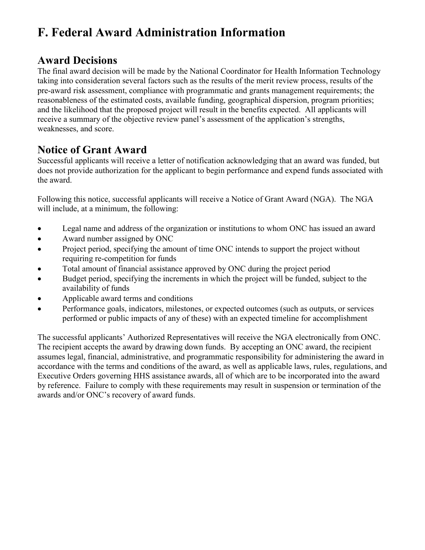# <span id="page-30-0"></span>**F. Federal Award Administration Information**

## **Award Decisions**

The final award decision will be made by the National Coordinator for Health Information Technology taking into consideration several factors such as the results of the merit review process, results of the pre-award risk assessment, compliance with programmatic and grants management requirements; the reasonableness of the estimated costs, available funding, geographical dispersion, program priorities; and the likelihood that the proposed project will result in the benefits expected. All applicants will receive a summary of the objective review panel's assessment of the application's strengths, weaknesses, and score.

## **Notice of Grant Award**

Successful applicants will receive a letter of notification acknowledging that an award was funded, but does not provide authorization for the applicant to begin performance and expend funds associated with the award.

Following this notice, successful applicants will receive a Notice of Grant Award (NGA). The NGA will include, at a minimum, the following:

- Legal name and address of the organization or institutions to whom ONC has issued an award
- Award number assigned by ONC
- Project period, specifying the amount of time ONC intends to support the project without requiring re-competition for funds
- Total amount of financial assistance approved by ONC during the project period
- Budget period, specifying the increments in which the project will be funded, subject to the availability of funds
- Applicable award terms and conditions
- Performance goals, indicators, milestones, or expected outcomes (such as outputs, or services performed or public impacts of any of these) with an expected timeline for accomplishment

The successful applicants' Authorized Representatives will receive the NGA electronically from ONC. The recipient accepts the award by drawing down funds. By accepting an ONC award, the recipient assumes legal, financial, administrative, and programmatic responsibility for administering the award in accordance with the terms and conditions of the award, as well as applicable laws, rules, regulations, and Executive Orders governing HHS assistance awards, all of which are to be incorporated into the award by reference. Failure to comply with these requirements may result in suspension or termination of the awards and/or ONC's recovery of award funds.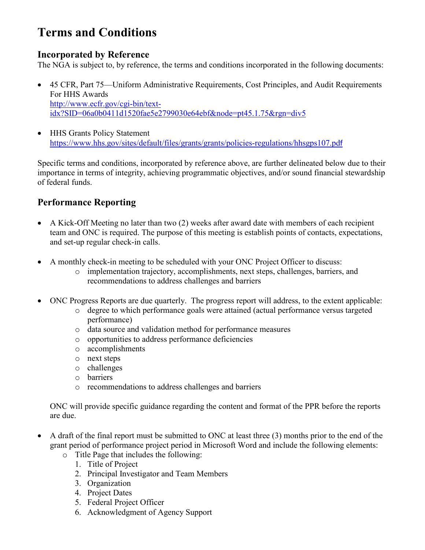# <span id="page-31-0"></span>**Terms and Conditions**

### **Incorporated by Reference**

The NGA is subject to, by reference, the terms and conditions incorporated in the following documents:

- 45 CFR, Part 75—Uniform Administrative Requirements, Cost Principles, and Audit Requirements For HHS Awards [http://www.ecfr.gov/cgi-bin/text](http://www.ecfr.gov/cgi-bin/text-idx?SID=06a0b0411d1520fae5e2799030e64ebf&node=pt45.1.75&rgn=div5)[idx?SID=06a0b0411d1520fae5e2799030e64ebf&node=pt45.1.75&rgn=div5](http://www.ecfr.gov/cgi-bin/text-idx?SID=06a0b0411d1520fae5e2799030e64ebf&node=pt45.1.75&rgn=div5)
- HHS Grants Policy Statement [https://www.hhs.gov/sites/default/files/grants/grants/policies-regulations/hhsgps107.pd](https://www.hhs.gov/sites/default/files/grants/grants/policies-regulations/hhsgps107.pdf)f

Specific terms and conditions, incorporated by reference above, are further delineated below due to their importance in terms of integrity, achieving programmatic objectives, and/or sound financial stewardship of federal funds.

## **Performance Reporting**

- A Kick-Off Meeting no later than two (2) weeks after award date with members of each recipient team and ONC is required. The purpose of this meeting is establish points of contacts, expectations, and set-up regular check-in calls.
- A monthly check-in meeting to be scheduled with your ONC Project Officer to discuss:
	- o implementation trajectory, accomplishments, next steps, challenges, barriers, and recommendations to address challenges and barriers
- ONC Progress Reports are due quarterly. The progress report will address, to the extent applicable:
	- o degree to which performance goals were attained (actual performance versus targeted performance)
	- o data source and validation method for performance measures
	- o opportunities to address performance deficiencies
	- o accomplishments
	- o next steps
	- o challenges
	- o barriers
	- o recommendations to address challenges and barriers

ONC will provide specific guidance regarding the content and format of the PPR before the reports are due.

- A draft of the final report must be submitted to ONC at least three (3) months prior to the end of the grant period of performance project period in Microsoft Word and include the following elements:
	- o Title Page that includes the following:
		- 1. Title of Project
		- 2. Principal Investigator and Team Members
		- 3. Organization
		- 4. Project Dates
		- 5. Federal Project Officer
		- 6. Acknowledgment of Agency Support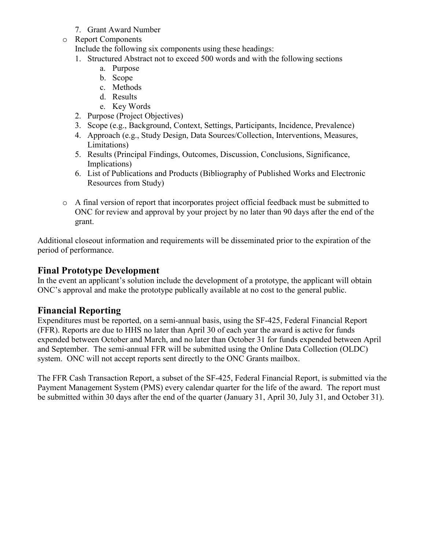- 7. Grant Award Number
- o Report Components

Include the following six components using these headings:

- 1. Structured Abstract not to exceed 500 words and with the following sections
	- a. Purpose
	- b. Scope
	- c. Methods
	- d. Results
	- e. Key Words
- 2. Purpose (Project Objectives)
- 3. Scope (e.g., Background, Context, Settings, Participants, Incidence, Prevalence)
- 4. Approach (e.g., Study Design, Data Sources/Collection, Interventions, Measures, Limitations)
- 5. Results (Principal Findings, Outcomes, Discussion, Conclusions, Significance, Implications)
- 6. List of Publications and Products (Bibliography of Published Works and Electronic Resources from Study)
- o A final version of report that incorporates project official feedback must be submitted to ONC for review and approval by your project by no later than 90 days after the end of the grant.

Additional closeout information and requirements will be disseminated prior to the expiration of the period of performance.

### **Final Prototype Development**

In the event an applicant's solution include the development of a prototype, the applicant will obtain ONC's approval and make the prototype publically available at no cost to the general public.

#### **Financial Reporting**

Expenditures must be reported, on a semi-annual basis, using the SF-425, Federal Financial Report (FFR). Reports are due to HHS no later than April 30 of each year the award is active for funds expended between October and March, and no later than October 31 for funds expended between April and September. The semi-annual FFR will be submitted using the Online Data Collection (OLDC) system. ONC will not accept reports sent directly to the ONC Grants mailbox.

The FFR Cash Transaction Report, a subset of the SF-425, Federal Financial Report, is submitted via the Payment Management System (PMS) every calendar quarter for the life of the award. The report must be submitted within 30 days after the end of the quarter (January 31, April 30, July 31, and October 31).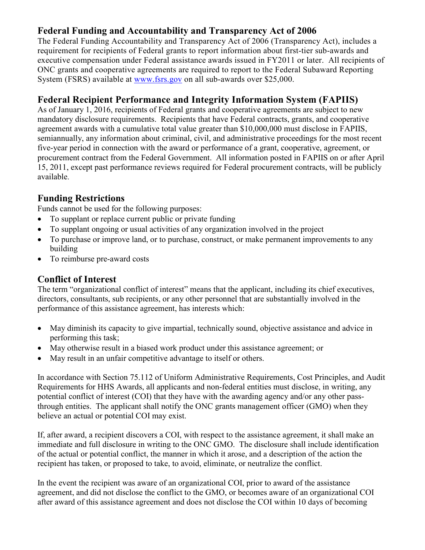## **Federal Funding and Accountability and Transparency Act of 2006**

The Federal Funding Accountability and Transparency Act of 2006 (Transparency Act), includes a requirement for recipients of Federal grants to report information about first-tier sub-awards and executive compensation under Federal assistance awards issued in FY2011 or later. All recipients of ONC grants and cooperative agreements are required to report to the Federal Subaward Reporting System (FSRS) available at [www.fsrs.gov](http://grants.nih.gov/grants/guide/url_redirect.htm?id=11170) on all sub-awards over \$25,000.

## **Federal Recipient Performance and Integrity Information System (FAPIIS)**

As of January 1, 2016, recipients of Federal grants and cooperative agreements are subject to new mandatory disclosure requirements. Recipients that have Federal contracts, grants, and cooperative agreement awards with a cumulative total value greater than \$10,000,000 must disclose in FAPIIS, semiannually, any information about criminal, civil, and administrative proceedings for the most recent five-year period in connection with the award or performance of a grant, cooperative, agreement, or procurement contract from the Federal Government. All information posted in FAPIIS on or after April 15, 2011, except past performance reviews required for Federal procurement contracts, will be publicly available.

#### **Funding Restrictions**

Funds cannot be used for the following purposes:

- To supplant or replace current public or private funding
- To supplant ongoing or usual activities of any organization involved in the project
- To purchase or improve land, or to purchase, construct, or make permanent improvements to any building
- To reimburse pre-award costs

#### **Conflict of Interest**

The term "organizational conflict of interest" means that the applicant, including its chief executives, directors, consultants, sub recipients, or any other personnel that are substantially involved in the performance of this assistance agreement, has interests which:

- May diminish its capacity to give impartial, technically sound, objective assistance and advice in performing this task;
- May otherwise result in a biased work product under this assistance agreement; or
- May result in an unfair competitive advantage to itself or others.

In accordance with Section 75.112 of Uniform Administrative Requirements, Cost Principles, and Audit Requirements for HHS Awards, all applicants and non-federal entities must disclose, in writing, any potential conflict of interest (COI) that they have with the awarding agency and/or any other passthrough entities. The applicant shall notify the ONC grants management officer (GMO) when they believe an actual or potential COI may exist.

If, after award, a recipient discovers a COI, with respect to the assistance agreement, it shall make an immediate and full disclosure in writing to the ONC GMO. The disclosure shall include identification of the actual or potential conflict, the manner in which it arose, and a description of the action the recipient has taken, or proposed to take, to avoid, eliminate, or neutralize the conflict.

In the event the recipient was aware of an organizational COI, prior to award of the assistance agreement, and did not disclose the conflict to the GMO, or becomes aware of an organizational COI after award of this assistance agreement and does not disclose the COI within 10 days of becoming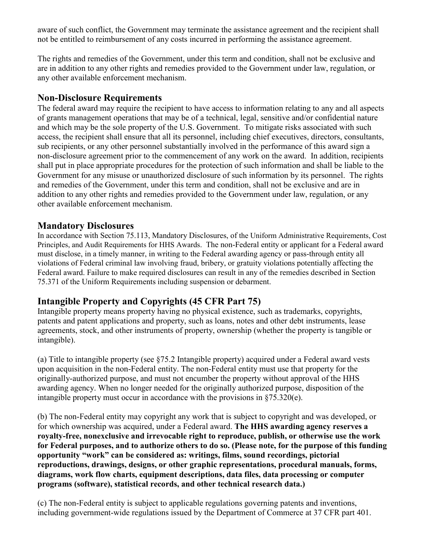aware of such conflict, the Government may terminate the assistance agreement and the recipient shall not be entitled to reimbursement of any costs incurred in performing the assistance agreement.

The rights and remedies of the Government, under this term and condition, shall not be exclusive and are in addition to any other rights and remedies provided to the Government under law, regulation, or any other available enforcement mechanism.

#### **Non-Disclosure Requirements**

The federal award may require the recipient to have access to information relating to any and all aspects of grants management operations that may be of a technical, legal, sensitive and/or confidential nature and which may be the sole property of the U.S. Government. To mitigate risks associated with such access, the recipient shall ensure that all its personnel, including chief executives, directors, consultants, sub recipients, or any other personnel substantially involved in the performance of this award sign a non-disclosure agreement prior to the commencement of any work on the award. In addition, recipients shall put in place appropriate procedures for the protection of such information and shall be liable to the Government for any misuse or unauthorized disclosure of such information by its personnel. The rights and remedies of the Government, under this term and condition, shall not be exclusive and are in addition to any other rights and remedies provided to the Government under law, regulation, or any other available enforcement mechanism.

#### **Mandatory Disclosures**

In accordance with Section 75.113, Mandatory Disclosures, of the Uniform Administrative Requirements, Cost Principles, and Audit Requirements for HHS Awards. The non-Federal entity or applicant for a Federal award must disclose, in a timely manner, in writing to the Federal awarding agency or pass-through entity all violations of Federal criminal law involving fraud, bribery, or gratuity violations potentially affecting the Federal award. Failure to make required disclosures can result in any of the remedies described in Section 75.371 of the Uniform Requirements including suspension or debarment.

## **Intangible Property and Copyrights (45 CFR Part 75)**

Intangible property means property having no physical existence, such as trademarks, copyrights, patents and patent applications and property, such as loans, notes and other debt instruments, lease agreements, stock, and other instruments of property, ownership (whether the property is tangible or intangible).

(a) Title to intangible property (see §75.2 Intangible property) acquired under a Federal award vests upon acquisition in the non-Federal entity. The non-Federal entity must use that property for the originally-authorized purpose, and must not encumber the property without approval of the HHS awarding agency. When no longer needed for the originally authorized purpose, disposition of the intangible property must occur in accordance with the provisions in §75.320(e).

(b) The non-Federal entity may copyright any work that is subject to copyright and was developed, or for which ownership was acquired, under a Federal award. **The HHS awarding agency reserves a royalty-free, nonexclusive and irrevocable right to reproduce, publish, or otherwise use the work for Federal purposes, and to authorize others to do so. (Please note, for the purpose of this funding opportunity "work" can be considered as: writings, films, sound recordings, pictorial reproductions, drawings, designs, or other graphic representations, procedural manuals, forms, diagrams, work flow charts, equipment descriptions, data files, data processing or computer programs (software), statistical records, and other technical research data.)** 

(c) The non-Federal entity is subject to applicable regulations governing patents and inventions, including government-wide regulations issued by the Department of Commerce at 37 CFR part 401.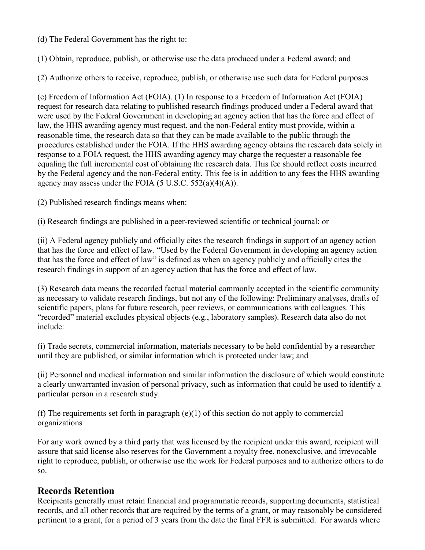(d) The Federal Government has the right to:

(1) Obtain, reproduce, publish, or otherwise use the data produced under a Federal award; and

(2) Authorize others to receive, reproduce, publish, or otherwise use such data for Federal purposes

(e) Freedom of Information Act (FOIA). (1) In response to a Freedom of Information Act (FOIA) request for research data relating to published research findings produced under a Federal award that were used by the Federal Government in developing an agency action that has the force and effect of law, the HHS awarding agency must request, and the non-Federal entity must provide, within a reasonable time, the research data so that they can be made available to the public through the procedures established under the FOIA. If the HHS awarding agency obtains the research data solely in response to a FOIA request, the HHS awarding agency may charge the requester a reasonable fee equaling the full incremental cost of obtaining the research data. This fee should reflect costs incurred by the Federal agency and the non-Federal entity. This fee is in addition to any fees the HHS awarding agency may assess under the FOIA  $(5 \text{ U.S.C. } 552(a)(4)(A))$ .

(2) Published research findings means when:

(i) Research findings are published in a peer-reviewed scientific or technical journal; or

(ii) A Federal agency publicly and officially cites the research findings in support of an agency action that has the force and effect of law. "Used by the Federal Government in developing an agency action that has the force and effect of law" is defined as when an agency publicly and officially cites the research findings in support of an agency action that has the force and effect of law.

(3) Research data means the recorded factual material commonly accepted in the scientific community as necessary to validate research findings, but not any of the following: Preliminary analyses, drafts of scientific papers, plans for future research, peer reviews, or communications with colleagues. This "recorded" material excludes physical objects (e.g., laboratory samples). Research data also do not include:

(i) Trade secrets, commercial information, materials necessary to be held confidential by a researcher until they are published, or similar information which is protected under law; and

(ii) Personnel and medical information and similar information the disclosure of which would constitute a clearly unwarranted invasion of personal privacy, such as information that could be used to identify a particular person in a research study.

(f) The requirements set forth in paragraph (e)(1) of this section do not apply to commercial organizations

For any work owned by a third party that was licensed by the recipient under this award, recipient will assure that said license also reserves for the Government a royalty free, nonexclusive, and irrevocable right to reproduce, publish, or otherwise use the work for Federal purposes and to authorize others to do so.

#### **Records Retention**

Recipients generally must retain financial and programmatic records, supporting documents, statistical records, and all other records that are required by the terms of a grant, or may reasonably be considered pertinent to a grant, for a period of 3 years from the date the final FFR is submitted. For awards where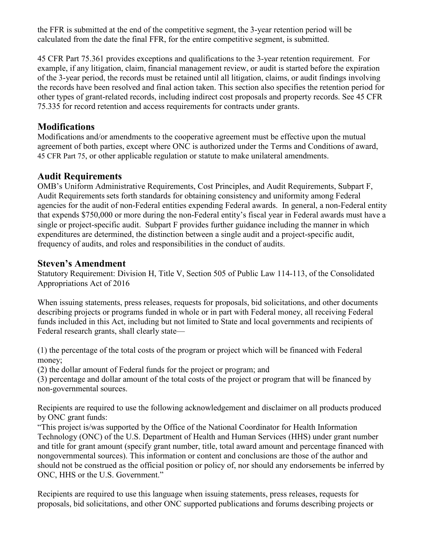the FFR is submitted at the end of the competitive segment, the 3-year retention period will be calculated from the date the final FFR, for the entire competitive segment, is submitted.

45 CFR Part 75.361 provides exceptions and qualifications to the 3-year retention requirement. For example, if any litigation, claim, financial management review, or audit is started before the expiration of the 3-year period, the records must be retained until all litigation, claims, or audit findings involving the records have been resolved and final action taken. This section also specifies the retention period for other types of grant-related records, including indirect cost proposals and property records. See 45 CFR 75.335 for record retention and access requirements for contracts under grants.

#### **Modifications**

Modifications and/or amendments to the cooperative agreement must be effective upon the mutual agreement of both parties, except where ONC is authorized under the Terms and Conditions of award, 45 CFR Part 75, or other applicable regulation or statute to make unilateral amendments.

### **Audit Requirements**

OMB's Uniform Administrative Requirements, Cost Principles, and Audit Requirements, Subpart F, Audit Requirements sets forth standards for obtaining consistency and uniformity among Federal agencies for the audit of non-Federal entities expending Federal awards. In general, a non-Federal entity that expends \$750,000 or more during the non-Federal entity's fiscal year in Federal awards must have a single or project-specific audit. Subpart F provides further guidance including the manner in which expenditures are determined, the distinction between a single audit and a project-specific audit, frequency of audits, and roles and responsibilities in the conduct of audits.

#### **Steven's Amendment**

Statutory Requirement: Division H, Title V, Section 505 of Public Law 114-113, of the Consolidated Appropriations Act of 2016

When issuing statements, press releases, requests for proposals, bid solicitations, and other documents describing projects or programs funded in whole or in part with Federal money, all receiving Federal funds included in this Act, including but not limited to State and local governments and recipients of Federal research grants, shall clearly state—

(1) the percentage of the total costs of the program or project which will be financed with Federal money;

(2) the dollar amount of Federal funds for the project or program; and

(3) percentage and dollar amount of the total costs of the project or program that will be financed by non-governmental sources.

Recipients are required to use the following acknowledgement and disclaimer on all products produced by ONC grant funds:

"This project is/was supported by the Office of the National Coordinator for Health Information Technology (ONC) of the U.S. Department of Health and Human Services (HHS) under grant number and title for grant amount (specify grant number, title, total award amount and percentage financed with nongovernmental sources). This information or content and conclusions are those of the author and should not be construed as the official position or policy of, nor should any endorsements be inferred by ONC, HHS or the U.S. Government."

Recipients are required to use this language when issuing statements, press releases, requests for proposals, bid solicitations, and other ONC supported publications and forums describing projects or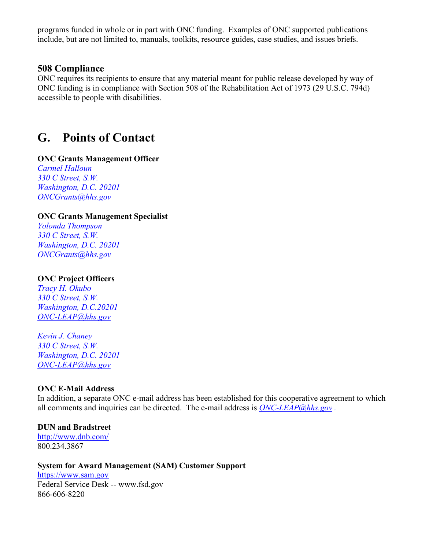<span id="page-37-0"></span>programs funded in whole or in part with ONC funding. Examples of ONC supported publications include, but are not limited to, manuals, toolkits, resource guides, case studies, and issues briefs.

#### **508 Compliance**

ONC requires its recipients to ensure that any material meant for public release developed by way of ONC funding is in compliance with Section 508 of the Rehabilitation Act of 1973 (29 U.S.C. 794d) accessible to people with disabilities.

## **G. Points of Contact**

#### **ONC Grants Management Officer**

*Carmel Halloun 330 C Street, S.W. Washington, D.C. 20201 [ONCGrants@hhs.gov](mailto:ONCGrants@hhs.gov)* 

#### **ONC Grants Management Specialist**

*Yolonda Thompson 330 C Street, S.W. Washington, D.C. 20201 [ONCGrants@hhs.gov](mailto:ONCGrants@hhs.gov)* 

#### **ONC Project Officers**

*Tracy H. Okubo 330 C Street, S.W. Washington, D.C.20201 [ONC-LEAP@hhs.gov](mailto:ONC-LEAP@hhs.gov)* 

*Kevin J. Chaney 330 C Street, S.W. Washington, D.C. 20201 [ONC-LEAP@hhs.gov](mailto:ONC-LEAP@hhs.gov)* 

#### **ONC E-Mail Address**

In addition, a separate ONC e-mail address has been established for this cooperative agreement to which all comments and inquiries can be directed. The e-mail address is *[ONC-LEAP@hhs.gov](mailto:ONC-LEAP@hhs.gov) .*

#### **DUN and Bradstreet**

<http://www.dnb.com/> 800.234.3867

#### **System for Award Management (SAM) Customer Support**

[https://www.sam.gov](https://www.sam.gov/) Federal Service Desk -- [www.fsd.gov](https://fsd.gov/fsd-gov/home.do) 866-606-8220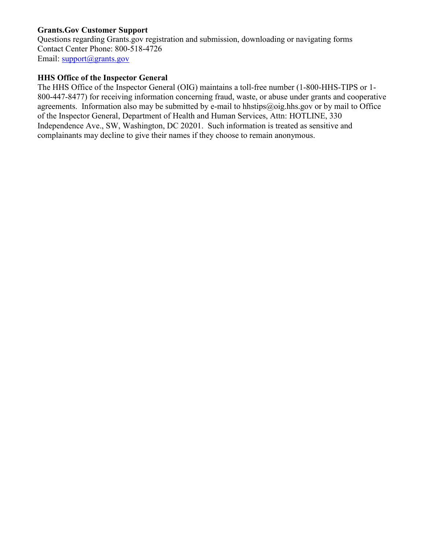#### **Grants.Gov Customer Support**

Questions regarding Grants.gov registration and submission, downloading or navigating forms Contact Center Phone: 800-518-4726 Email: [support@grants.gov](mailto:support@grants.gov)

#### **HHS Office of the Inspector General**

The HHS Office of the Inspector General (OIG) maintains a toll-free number (1-800-HHS-TIPS or 1- 800-447-8477) for receiving information concerning fraud, waste, or abuse under grants and cooperative agreements. Information also may be submitted by e-mail t[o hhstips@oig.hhs.gov](mailto:hhstips@oig.hhs.gov) or by mail to Office of the Inspector General, Department of Health and Human Services, Attn: HOTLINE, 330 Independence Ave., SW, Washington, DC 20201. Such information is treated as sensitive and complainants may decline to give their names if they choose to remain anonymous.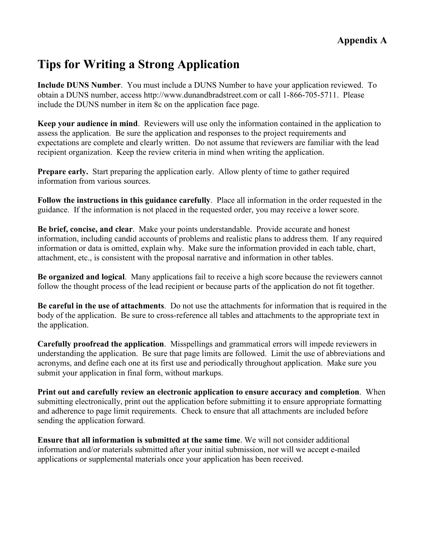# <span id="page-39-0"></span>**Tips for Writing a Strong Application**

**Include DUNS Number**. You must include a DUNS Number to have your application reviewed. To obtain a DUNS number, access http://www.dunandbradstreet.com or call 1-866-705-5711. Please include the DUNS number in item 8c on the application face page.

**Keep your audience in mind**. Reviewers will use only the information contained in the application to assess the application. Be sure the application and responses to the project requirements and expectations are complete and clearly written. Do not assume that reviewers are familiar with the lead recipient organization. Keep the review criteria in mind when writing the application.

**Prepare early.** Start preparing the application early. Allow plenty of time to gather required information from various sources.

**Follow the instructions in this guidance carefully**. Place all information in the order requested in the guidance. If the information is not placed in the requested order, you may receive a lower score.

**Be brief, concise, and clear**. Make your points understandable. Provide accurate and honest information, including candid accounts of problems and realistic plans to address them. If any required information or data is omitted, explain why. Make sure the information provided in each table, chart, attachment, etc., is consistent with the proposal narrative and information in other tables.

**Be organized and logical**. Many applications fail to receive a high score because the reviewers cannot follow the thought process of the lead recipient or because parts of the application do not fit together.

**Be careful in the use of attachments**. Do not use the attachments for information that is required in the body of the application. Be sure to cross-reference all tables and attachments to the appropriate text in the application.

**Carefully proofread the application**. Misspellings and grammatical errors will impede reviewers in understanding the application. Be sure that page limits are followed. Limit the use of abbreviations and acronyms, and define each one at its first use and periodically throughout application. Make sure you submit your application in final form, without markups.

**Print out and carefully review an electronic application to ensure accuracy and completion**. When submitting electronically, print out the application before submitting it to ensure appropriate formatting and adherence to page limit requirements. Check to ensure that all attachments are included before sending the application forward.

**Ensure that all information is submitted at the same time**. We will not consider additional information and/or materials submitted after your initial submission, nor will we accept e-mailed applications or supplemental materials once your application has been received.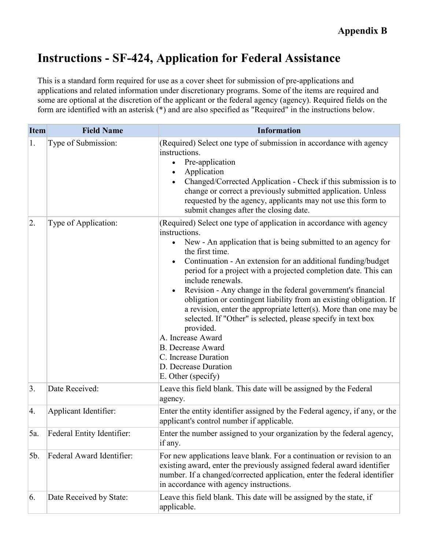# <span id="page-40-0"></span>**Instructions - SF-424, Application for Federal Assistance**

This is a standard form required for use as a cover sheet for submission of pre-applications and applications and related information under discretionary programs. Some of the items are required and some are optional at the discretion of the applicant or the federal agency (agency). Required fields on the form are identified with an asterisk (\*) and are also specified as "Required" in the instructions below.

| <b>Item</b>      | <b>Field Name</b>          | <b>Information</b>                                                                                                                                                                                                                                                                                                                                                                                                                                                                                                                                                                                                                                                                                                                                          |
|------------------|----------------------------|-------------------------------------------------------------------------------------------------------------------------------------------------------------------------------------------------------------------------------------------------------------------------------------------------------------------------------------------------------------------------------------------------------------------------------------------------------------------------------------------------------------------------------------------------------------------------------------------------------------------------------------------------------------------------------------------------------------------------------------------------------------|
| 1.               | Type of Submission:        | (Required) Select one type of submission in accordance with agency<br>instructions.<br>Pre-application<br>$\bullet$<br>Application<br>$\bullet$<br>Changed/Corrected Application - Check if this submission is to<br>change or correct a previously submitted application. Unless<br>requested by the agency, applicants may not use this form to<br>submit changes after the closing date.                                                                                                                                                                                                                                                                                                                                                                 |
| 2.               | Type of Application:       | (Required) Select one type of application in accordance with agency<br>instructions.<br>New - An application that is being submitted to an agency for<br>$\bullet$<br>the first time.<br>Continuation - An extension for an additional funding/budget<br>period for a project with a projected completion date. This can<br>include renewals.<br>Revision - Any change in the federal government's financial<br>obligation or contingent liability from an existing obligation. If<br>a revision, enter the appropriate letter(s). More than one may be<br>selected. If "Other" is selected, please specify in text box<br>provided.<br>A. Increase Award<br><b>B.</b> Decrease Award<br>C. Increase Duration<br>D. Decrease Duration<br>E. Other (specify) |
| $\overline{3}$ . | Date Received:             | Leave this field blank. This date will be assigned by the Federal<br>agency.                                                                                                                                                                                                                                                                                                                                                                                                                                                                                                                                                                                                                                                                                |
| 4.               | Applicant Identifier:      | Enter the entity identifier assigned by the Federal agency, if any, or the<br>applicant's control number if applicable.                                                                                                                                                                                                                                                                                                                                                                                                                                                                                                                                                                                                                                     |
| 5a.              | Federal Entity Identifier: | Enter the number assigned to your organization by the federal agency,<br>if any.                                                                                                                                                                                                                                                                                                                                                                                                                                                                                                                                                                                                                                                                            |
| 5b.              | Federal Award Identifier:  | For new applications leave blank. For a continuation or revision to an<br>existing award, enter the previously assigned federal award identifier<br>number. If a changed/corrected application, enter the federal identifier<br>in accordance with agency instructions.                                                                                                                                                                                                                                                                                                                                                                                                                                                                                     |
| 6.               | Date Received by State:    | Leave this field blank. This date will be assigned by the state, if<br>applicable.                                                                                                                                                                                                                                                                                                                                                                                                                                                                                                                                                                                                                                                                          |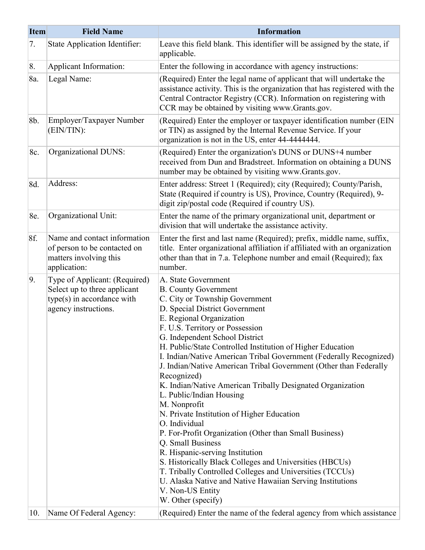| <b>Item</b> | <b>Field Name</b>                                                                                                   | <b>Information</b>                                                                                                                                                                                                                                                                                                                                                                                                                                                                                                                                                                                                                                                                                                                                                                                                                                                                                                                                                       |
|-------------|---------------------------------------------------------------------------------------------------------------------|--------------------------------------------------------------------------------------------------------------------------------------------------------------------------------------------------------------------------------------------------------------------------------------------------------------------------------------------------------------------------------------------------------------------------------------------------------------------------------------------------------------------------------------------------------------------------------------------------------------------------------------------------------------------------------------------------------------------------------------------------------------------------------------------------------------------------------------------------------------------------------------------------------------------------------------------------------------------------|
| 7.          | <b>State Application Identifier:</b>                                                                                | Leave this field blank. This identifier will be assigned by the state, if<br>applicable.                                                                                                                                                                                                                                                                                                                                                                                                                                                                                                                                                                                                                                                                                                                                                                                                                                                                                 |
| 8.          | Applicant Information:                                                                                              | Enter the following in accordance with agency instructions:                                                                                                                                                                                                                                                                                                                                                                                                                                                                                                                                                                                                                                                                                                                                                                                                                                                                                                              |
| 8a.         | Legal Name:                                                                                                         | (Required) Enter the legal name of applicant that will undertake the<br>assistance activity. This is the organization that has registered with the<br>Central Contractor Registry (CCR). Information on registering with<br>CCR may be obtained by visiting www.Grants.gov.                                                                                                                                                                                                                                                                                                                                                                                                                                                                                                                                                                                                                                                                                              |
| 8b.         | Employer/Taxpayer Number<br>(EIN/TIN):                                                                              | (Required) Enter the employer or taxpayer identification number (EIN)<br>or TIN) as assigned by the Internal Revenue Service. If your<br>organization is not in the US, enter 44-4444444.                                                                                                                                                                                                                                                                                                                                                                                                                                                                                                                                                                                                                                                                                                                                                                                |
| 8c.         | Organizational DUNS:                                                                                                | (Required) Enter the organization's DUNS or DUNS+4 number<br>received from Dun and Bradstreet. Information on obtaining a DUNS<br>number may be obtained by visiting www.Grants.gov.                                                                                                                                                                                                                                                                                                                                                                                                                                                                                                                                                                                                                                                                                                                                                                                     |
| 8d.         | Address:                                                                                                            | Enter address: Street 1 (Required); city (Required); County/Parish,<br>State (Required if country is US), Province, Country (Required), 9-<br>digit zip/postal code (Required if country US).                                                                                                                                                                                                                                                                                                                                                                                                                                                                                                                                                                                                                                                                                                                                                                            |
| 8e.         | Organizational Unit:                                                                                                | Enter the name of the primary organizational unit, department or<br>division that will undertake the assistance activity.                                                                                                                                                                                                                                                                                                                                                                                                                                                                                                                                                                                                                                                                                                                                                                                                                                                |
| 8f.         | Name and contact information<br>of person to be contacted on<br>matters involving this<br>application:              | Enter the first and last name (Required); prefix, middle name, suffix,<br>title. Enter organizational affiliation if affiliated with an organization<br>other than that in 7.a. Telephone number and email (Required); fax<br>number.                                                                                                                                                                                                                                                                                                                                                                                                                                                                                                                                                                                                                                                                                                                                    |
| 9.          | Type of Applicant: (Required)<br>Select up to three applicant<br>type(s) in accordance with<br>agency instructions. | A. State Government<br><b>B.</b> County Government<br>C. City or Township Government<br>D. Special District Government<br>E. Regional Organization<br>F. U.S. Territory or Possession<br>G. Independent School District<br>H. Public/State Controlled Institution of Higher Education<br>I. Indian/Native American Tribal Government (Federally Recognized)<br>J. Indian/Native American Tribal Government (Other than Federally<br>Recognized)<br>K. Indian/Native American Tribally Designated Organization<br>L. Public/Indian Housing<br>M. Nonprofit<br>N. Private Institution of Higher Education<br>O. Individual<br>P. For-Profit Organization (Other than Small Business)<br>Q. Small Business<br>R. Hispanic-serving Institution<br>S. Historically Black Colleges and Universities (HBCUs)<br>T. Tribally Controlled Colleges and Universities (TCCUs)<br>U. Alaska Native and Native Hawaiian Serving Institutions<br>V. Non-US Entity<br>W. Other (specify) |
| 10.         | Name Of Federal Agency:                                                                                             | (Required) Enter the name of the federal agency from which assistance                                                                                                                                                                                                                                                                                                                                                                                                                                                                                                                                                                                                                                                                                                                                                                                                                                                                                                    |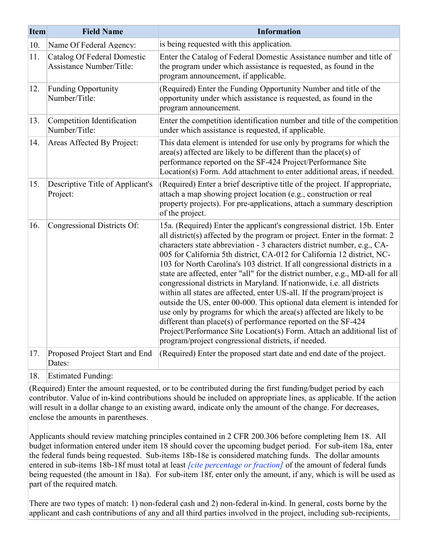| <b>Item</b> | <b>Field Name</b>                                                     | <b>Information</b>                                                                                                                                                                                                                                                                                                                                                                                                                                                                                                                                                                                                                                                                                                                                                                                                                                                                                                                                                                      |
|-------------|-----------------------------------------------------------------------|-----------------------------------------------------------------------------------------------------------------------------------------------------------------------------------------------------------------------------------------------------------------------------------------------------------------------------------------------------------------------------------------------------------------------------------------------------------------------------------------------------------------------------------------------------------------------------------------------------------------------------------------------------------------------------------------------------------------------------------------------------------------------------------------------------------------------------------------------------------------------------------------------------------------------------------------------------------------------------------------|
| 10.         | Name Of Federal Agency:                                               | is being requested with this application.                                                                                                                                                                                                                                                                                                                                                                                                                                                                                                                                                                                                                                                                                                                                                                                                                                                                                                                                               |
| 11.         | <b>Catalog Of Federal Domestic</b><br><b>Assistance Number/Title:</b> | Enter the Catalog of Federal Domestic Assistance number and title of<br>the program under which assistance is requested, as found in the<br>program announcement, if applicable.                                                                                                                                                                                                                                                                                                                                                                                                                                                                                                                                                                                                                                                                                                                                                                                                        |
| 12.         | <b>Funding Opportunity</b><br>Number/Title:                           | (Required) Enter the Funding Opportunity Number and title of the<br>opportunity under which assistance is requested, as found in the<br>program announcement.                                                                                                                                                                                                                                                                                                                                                                                                                                                                                                                                                                                                                                                                                                                                                                                                                           |
| 13.         | Competition Identification<br>Number/Title:                           | Enter the competition identification number and title of the competition<br>under which assistance is requested, if applicable.                                                                                                                                                                                                                                                                                                                                                                                                                                                                                                                                                                                                                                                                                                                                                                                                                                                         |
| 14.         | Areas Affected By Project:                                            | This data element is intended for use only by programs for which the<br>area(s) affected are likely to be different than the place(s) of<br>performance reported on the SF-424 Project/Performance Site<br>Location(s) Form. Add attachment to enter additional areas, if needed.                                                                                                                                                                                                                                                                                                                                                                                                                                                                                                                                                                                                                                                                                                       |
| 15.         | Descriptive Title of Applicant's<br>Project:                          | (Required) Enter a brief descriptive title of the project. If appropriate,<br>attach a map showing project location (e.g., construction or real<br>property projects). For pre-applications, attach a summary description<br>of the project.                                                                                                                                                                                                                                                                                                                                                                                                                                                                                                                                                                                                                                                                                                                                            |
| 16.         | Congressional Districts Of:                                           | 15a. (Required) Enter the applicant's congressional district. 15b. Enter<br>all district(s) affected by the program or project. Enter in the format: 2<br>characters state abbreviation - 3 characters district number, e.g., CA-<br>005 for California 5th district, CA-012 for California 12 district, NC-<br>103 for North Carolina's 103 district. If all congressional districts in a<br>state are affected, enter "all" for the district number, e.g., MD-all for all<br>congressional districts in Maryland. If nationwide, i.e. all districts<br>within all states are affected, enter US-all. If the program/project is<br>outside the US, enter 00-000. This optional data element is intended for<br>use only by programs for which the area(s) affected are likely to be<br>different than place(s) of performance reported on the SF-424<br>Project/Performance Site Location(s) Form. Attach an additional list of<br>program/project congressional districts, if needed. |
| 17.         | Proposed Project Start and End<br>Dates:                              | (Required) Enter the proposed start date and end date of the project.                                                                                                                                                                                                                                                                                                                                                                                                                                                                                                                                                                                                                                                                                                                                                                                                                                                                                                                   |

18. Estimated Funding:

(Required) Enter the amount requested, or to be contributed during the first funding/budget period by each contributor. Value of in-kind contributions should be included on appropriate lines, as applicable. If the action will result in a dollar change to an existing award, indicate only the amount of the change. For decreases, enclose the amounts in parentheses.

Applicants should review matching principles contained in 2 CFR 200.306 before completing Item 18. All budget information entered under item 18 should cover the upcoming budget period. For sub-item 18a, enter the federal funds being requested. Sub-items 18b-18e is considered matching funds. The dollar amounts entered in sub-items 18b-18f must total at least *[cite percentage or fraction]* of the amount of federal funds being requested (the amount in 18a). For sub-item 18f, enter only the amount, if any, which is will be used as part of the required match.

There are two types of match: 1) non-federal cash and 2) non-federal in-kind. In general, costs borne by the applicant and cash contributions of any and all third parties involved in the project, including sub-recipients,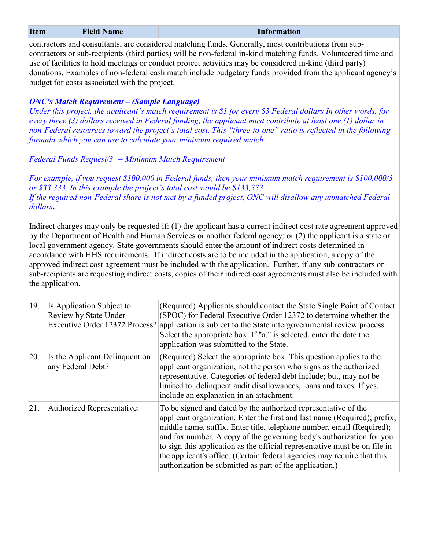| <b>Item</b> | <b>Field Name</b>                                                                                                                                                                                                                                                                                                                                                                                                                                                                                | <b>Information</b>                                                                                                                                                                                                                                                                                                                                                                                                                                                                                                                                                                                                                                                                    |  |  |  |  |  |  |
|-------------|--------------------------------------------------------------------------------------------------------------------------------------------------------------------------------------------------------------------------------------------------------------------------------------------------------------------------------------------------------------------------------------------------------------------------------------------------------------------------------------------------|---------------------------------------------------------------------------------------------------------------------------------------------------------------------------------------------------------------------------------------------------------------------------------------------------------------------------------------------------------------------------------------------------------------------------------------------------------------------------------------------------------------------------------------------------------------------------------------------------------------------------------------------------------------------------------------|--|--|--|--|--|--|
|             | contractors and consultants, are considered matching funds. Generally, most contributions from sub-<br>contractors or sub-recipients (third parties) will be non-federal in-kind matching funds. Volunteered time and<br>use of facilities to hold meetings or conduct project activities may be considered in-kind (third party)<br>donations. Examples of non-federal cash match include budgetary funds provided from the applicant agency's<br>budget for costs associated with the project. |                                                                                                                                                                                                                                                                                                                                                                                                                                                                                                                                                                                                                                                                                       |  |  |  |  |  |  |
|             | <b>ONC's Match Requirement - (Sample Language)</b><br>Under this project, the applicant's match requirement is \$1 for every \$3 Federal dollars In other words, for<br>every three (3) dollars received in Federal funding, the applicant must contribute at least one (1) dollar in<br>non-Federal resources toward the project's total cost. This "three-to-one" ratio is reflected in the following<br>formula which you can use to calculate your minimum required match:                   |                                                                                                                                                                                                                                                                                                                                                                                                                                                                                                                                                                                                                                                                                       |  |  |  |  |  |  |
|             | <b>Federal Funds Request/3</b> = Minimum Match Requirement                                                                                                                                                                                                                                                                                                                                                                                                                                       |                                                                                                                                                                                                                                                                                                                                                                                                                                                                                                                                                                                                                                                                                       |  |  |  |  |  |  |
| dollars.    | or \$33,333. In this example the project's total cost would be \$133,333.                                                                                                                                                                                                                                                                                                                                                                                                                        | For example, if you request \$100,000 in Federal funds, then your minimum match requirement is \$100,000/3<br>If the required non-Federal share is not met by a funded project, ONC will disallow any unmatched Federal                                                                                                                                                                                                                                                                                                                                                                                                                                                               |  |  |  |  |  |  |
|             | the application.                                                                                                                                                                                                                                                                                                                                                                                                                                                                                 | Indirect charges may only be requested if: (1) the applicant has a current indirect cost rate agreement approved<br>by the Department of Health and Human Services or another federal agency; or (2) the applicant is a state or<br>local government agency. State governments should enter the amount of indirect costs determined in<br>accordance with HHS requirements. If indirect costs are to be included in the application, a copy of the<br>approved indirect cost agreement must be included with the application. Further, if any sub-contractors or<br>sub-recipients are requesting indirect costs, copies of their indirect cost agreements must also be included with |  |  |  |  |  |  |
| 19.         | Is Application Subject to<br>Review by State Under<br>Executive Order 12372 Process?                                                                                                                                                                                                                                                                                                                                                                                                             | (Required) Applicants should contact the State Single Point of Contact<br>(SPOC) for Federal Executive Order 12372 to determine whether the<br>application is subject to the State intergovernmental review process.<br>Select the appropriate box. If "a." is selected, enter the date the<br>application was submitted to the State.                                                                                                                                                                                                                                                                                                                                                |  |  |  |  |  |  |
| 20.         | Is the Applicant Delinquent on<br>any Federal Debt?                                                                                                                                                                                                                                                                                                                                                                                                                                              | (Required) Select the appropriate box. This question applies to the<br>applicant organization, not the person who signs as the authorized<br>representative. Categories of federal debt include; but, may not be<br>limited to: delinquent audit disallowances, loans and taxes. If yes,<br>include an explanation in an attachment.                                                                                                                                                                                                                                                                                                                                                  |  |  |  |  |  |  |
| 21.         | Authorized Representative:                                                                                                                                                                                                                                                                                                                                                                                                                                                                       | To be signed and dated by the authorized representative of the<br>applicant organization. Enter the first and last name (Required); prefix,<br>middle name, suffix. Enter title, telephone number, email (Required);<br>and fax number. A copy of the governing body's authorization for you                                                                                                                                                                                                                                                                                                                                                                                          |  |  |  |  |  |  |

to sign this application as the official representative must be on file in the applicant's office. (Certain federal agencies may require that this

authorization be submitted as part of the application.)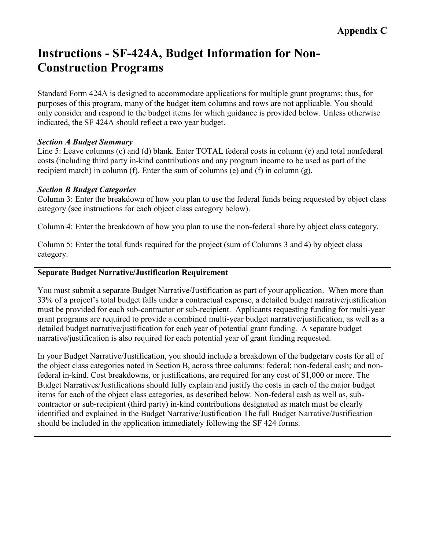# <span id="page-44-0"></span>**Instructions - SF-424A, Budget Information for Non-Construction Programs**

Standard Form 424A is designed to accommodate applications for multiple grant programs; thus, for purposes of this program, many of the budget item columns and rows are not applicable. You should only consider and respond to the budget items for which guidance is provided below. Unless otherwise indicated, the SF 424A should reflect a two year budget.

#### *Section A Budget Summary*

Line 5: Leave columns (c) and (d) blank. Enter TOTAL federal costs in column (e) and total nonfederal costs (including third party in-kind contributions and any program income to be used as part of the recipient match) in column (f). Enter the sum of columns (e) and (f) in column (g).

#### *Section B Budget Categories*

Column 3: Enter the breakdown of how you plan to use the federal funds being requested by object class category (see instructions for each object class category below).

Column 4: Enter the breakdown of how you plan to use the non-federal share by object class category.

Column 5: Enter the total funds required for the project (sum of Columns 3 and 4) by object class category.

#### **Separate Budget Narrative/Justification Requirement**

You must submit a separate Budget Narrative/Justification as part of your application. When more than 33% of a project's total budget falls under a contractual expense, a detailed budget narrative/justification must be provided for each sub-contractor or sub-recipient. Applicants requesting funding for multi-year grant programs are required to provide a combined multi-year budget narrative/justification, as well as a detailed budget narrative/justification for each year of potential grant funding. A separate budget narrative/justification is also required for each potential year of grant funding requested.

In your Budget Narrative/Justification, you should include a breakdown of the budgetary costs for all of the object class categories noted in Section B, across three columns: federal; non-federal cash; and nonfederal in-kind. Cost breakdowns, or justifications, are required for any cost of \$1,000 or more. The Budget Narratives/Justifications should fully explain and justify the costs in each of the major budget items for each of the object class categories, as described below. Non-federal cash as well as, subcontractor or sub-recipient (third party) in-kind contributions designated as match must be clearly identified and explained in the Budget Narrative/Justification The full Budget Narrative/Justification should be included in the application immediately following the SF 424 forms.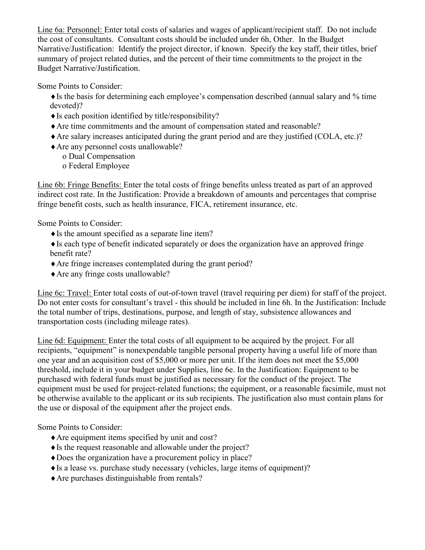Line 6a: Personnel: Enter total costs of salaries and wages of applicant/recipient staff. Do not include the cost of consultants. Consultant costs should be included under 6h, Other. In the Budget Narrative/Justification: Identify the project director, if known. Specify the key staff, their titles, brief summary of project related duties, and the percent of their time commitments to the project in the Budget Narrative/Justification.

Some Points to Consider:

♦Is the basis for determining each employee's compensation described (annual salary and % time devoted)?

- $\triangle$  Is each position identified by title/responsibility?
- ♦Are time commitments and the amount of compensation stated and reasonable?
- ♦Are salary increases anticipated during the grant period and are they justified (COLA, etc.)?
- ♦Are any personnel costs unallowable?
	- o Dual Compensation o Federal Employee

Line 6b: Fringe Benefits: Enter the total costs of fringe benefits unless treated as part of an approved indirect cost rate. In the Justification: Provide a breakdown of amounts and percentages that comprise fringe benefit costs, such as health insurance, FICA, retirement insurance, etc.

Some Points to Consider:

 $\triangle$  Is the amount specified as a separate line item?

♦Is each type of benefit indicated separately or does the organization have an approved fringe benefit rate?

- ♦Are fringe increases contemplated during the grant period?
- ♦Are any fringe costs unallowable?

Line 6c: Travel: Enter total costs of out-of-town travel (travel requiring per diem) for staff of the project. Do not enter costs for consultant's travel - this should be included in line 6h. In the Justification: Include the total number of trips, destinations, purpose, and length of stay, subsistence allowances and transportation costs (including mileage rates).

Line 6d: Equipment: Enter the total costs of all equipment to be acquired by the project. For all recipients, "equipment" is nonexpendable tangible personal property having a useful life of more than one year and an acquisition cost of \$5,000 or more per unit. If the item does not meet the \$5,000 threshold, include it in your budget under Supplies, line 6e. In the Justification: Equipment to be purchased with federal funds must be justified as necessary for the conduct of the project. The equipment must be used for project-related functions; the equipment, or a reasonable facsimile, must not be otherwise available to the applicant or its sub recipients. The justification also must contain plans for the use or disposal of the equipment after the project ends.

Some Points to Consider:

- ♦Are equipment items specified by unit and cost?
- ♦Is the request reasonable and allowable under the project?
- ♦Does the organization have a procurement policy in place?
- ♦Is a lease vs. purchase study necessary (vehicles, large items of equipment)?
- ♦Are purchases distinguishable from rentals?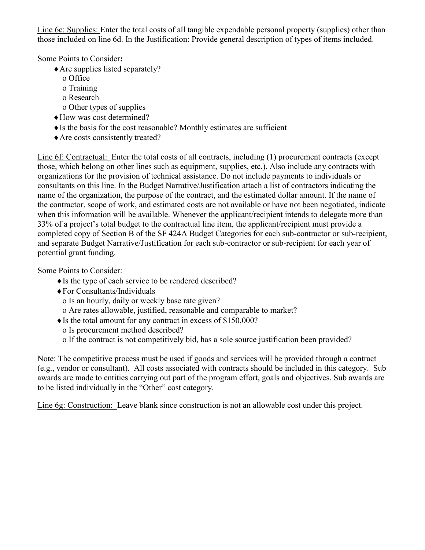Line 6e: Supplies: Enter the total costs of all tangible expendable personal property (supplies) other than those included on line 6d. In the Justification: Provide general description of types of items included.

Some Points to Consider**:**

- ♦Are supplies listed separately?
	- o Office
	- o Training
	- o Research
	- o Other types of supplies
- ♦How was cost determined?
- $\triangle$  Is the basis for the cost reasonable? Monthly estimates are sufficient
- ♦Are costs consistently treated?

Line 6f: Contractual: Enter the total costs of all contracts, including (1) procurement contracts (except those, which belong on other lines such as equipment, supplies, etc.). Also include any contracts with organizations for the provision of technical assistance. Do not include payments to individuals or consultants on this line. In the Budget Narrative/Justification attach a list of contractors indicating the name of the organization, the purpose of the contract, and the estimated dollar amount. If the name of the contractor, scope of work, and estimated costs are not available or have not been negotiated, indicate when this information will be available. Whenever the applicant/recipient intends to delegate more than 33% of a project's total budget to the contractual line item, the applicant/recipient must provide a completed copy of Section B of the SF 424A Budget Categories for each sub-contractor or sub-recipient, and separate Budget Narrative/Justification for each sub-contractor or sub-recipient for each year of potential grant funding.

Some Points to Consider:

- ♦Is the type of each service to be rendered described?
- ♦For Consultants/Individuals
	- o Is an hourly, daily or weekly base rate given?
	- o Are rates allowable, justified, reasonable and comparable to market?
- ♦Is the total amount for any contract in excess of \$150,000?
	- o Is procurement method described?
	- o If the contract is not competitively bid, has a sole source justification been provided?

Note: The competitive process must be used if goods and services will be provided through a contract (e.g., vendor or consultant). All costs associated with contracts should be included in this category. Sub awards are made to entities carrying out part of the program effort, goals and objectives. Sub awards are to be listed individually in the "Other" cost category.

Line 6g: Construction: Leave blank since construction is not an allowable cost under this project.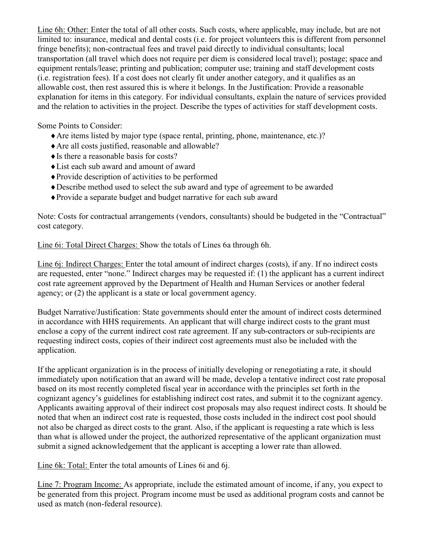Line 6h: Other: Enter the total of all other costs. Such costs, where applicable, may include, but are not limited to: insurance, medical and dental costs (i.e. for project volunteers this is different from personnel fringe benefits); non-contractual fees and travel paid directly to individual consultants; local transportation (all travel which does not require per diem is considered local travel); postage; space and equipment rentals/lease; printing and publication; computer use; training and staff development costs (i.e. registration fees). If a cost does not clearly fit under another category, and it qualifies as an allowable cost, then rest assured this is where it belongs. In the Justification: Provide a reasonable explanation for items in this category. For individual consultants, explain the nature of services provided and the relation to activities in the project. Describe the types of activities for staff development costs.

Some Points to Consider:

- ♦Are items listed by major type (space rental, printing, phone, maintenance, etc.)?
- ♦Are all costs justified, reasonable and allowable?
- $\triangle$  Is there a reasonable basis for costs?
- ♦List each sub award and amount of award
- ♦Provide description of activities to be performed
- ♦Describe method used to select the sub award and type of agreement to be awarded
- ♦Provide a separate budget and budget narrative for each sub award

Note: Costs for contractual arrangements (vendors, consultants) should be budgeted in the "Contractual" cost category.

Line 6i: Total Direct Charges: Show the totals of Lines 6a through 6h.

Line 6j: Indirect Charges: Enter the total amount of indirect charges (costs), if any. If no indirect costs are requested, enter "none." Indirect charges may be requested if: (1) the applicant has a current indirect cost rate agreement approved by the Department of Health and Human Services or another federal agency; or (2) the applicant is a state or local government agency.

Budget Narrative/Justification: State governments should enter the amount of indirect costs determined in accordance with HHS requirements. An applicant that will charge indirect costs to the grant must enclose a copy of the current indirect cost rate agreement. If any sub-contractors or sub-recipients are requesting indirect costs, copies of their indirect cost agreements must also be included with the application.

If the applicant organization is in the process of initially developing or renegotiating a rate, it should immediately upon notification that an award will be made, develop a tentative indirect cost rate proposal based on its most recently completed fiscal year in accordance with the principles set forth in the cognizant agency's guidelines for establishing indirect cost rates, and submit it to the cognizant agency. Applicants awaiting approval of their indirect cost proposals may also request indirect costs. It should be noted that when an indirect cost rate is requested, those costs included in the indirect cost pool should not also be charged as direct costs to the grant. Also, if the applicant is requesting a rate which is less than what is allowed under the project, the authorized representative of the applicant organization must submit a signed acknowledgement that the applicant is accepting a lower rate than allowed.

Line 6k: Total: Enter the total amounts of Lines 6i and 6j.

Line 7: Program Income: As appropriate, include the estimated amount of income, if any, you expect to be generated from this project. Program income must be used as additional program costs and cannot be used as match (non-federal resource).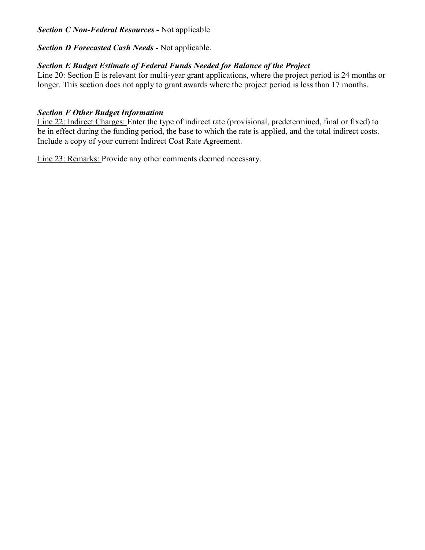#### *Section C Non-Federal Resources -* Not applicable

#### *Section D Forecasted Cash Needs -* Not applicable.

#### *Section E Budget Estimate of Federal Funds Needed for Balance of the Project*

Line 20: Section E is relevant for multi-year grant applications, where the project period is 24 months or longer. This section does not apply to grant awards where the project period is less than 17 months.

#### *Section F Other Budget Information*

Line 22: Indirect Charges: Enter the type of indirect rate (provisional, predetermined, final or fixed) to be in effect during the funding period, the base to which the rate is applied, and the total indirect costs. Include a copy of your current Indirect Cost Rate Agreement.

Line 23: Remarks: Provide any other comments deemed necessary.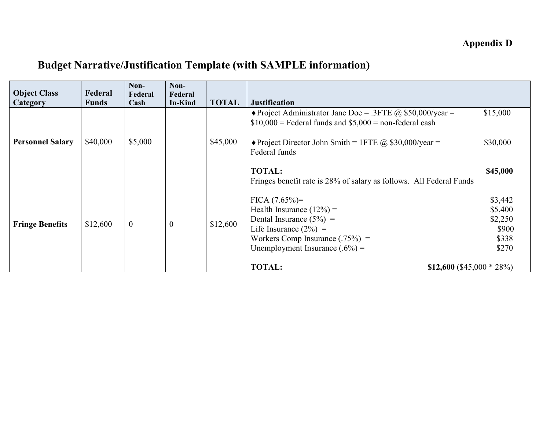# <span id="page-49-0"></span>**Budget Narrative/Justification Template (with SAMPLE information)**

| <b>Object Class</b><br>Category | Federal<br><b>Funds</b> | Non-<br>Federal<br>Cash | Non-<br>Federal<br><b>In-Kind</b> | <b>TOTAL</b> | <b>Justification</b>                                                                                                                                                                                                                                                                                          |                                                          |
|---------------------------------|-------------------------|-------------------------|-----------------------------------|--------------|---------------------------------------------------------------------------------------------------------------------------------------------------------------------------------------------------------------------------------------------------------------------------------------------------------------|----------------------------------------------------------|
| <b>Personnel Salary</b>         | \$40,000                | \$5,000                 |                                   | \$45,000     | • Project Administrator Jane Doe = .3FTE @ \$50,000/year =<br>$$10,000$ = Federal funds and $$5,000$ = non-federal cash<br>• Project Director John Smith = 1FTE @ \$30,000/year =<br>Federal funds                                                                                                            | \$15,000<br>\$30,000                                     |
|                                 |                         |                         |                                   |              | <b>TOTAL:</b>                                                                                                                                                                                                                                                                                                 | \$45,000                                                 |
| <b>Fringe Benefits</b>          | \$12,600                | $\mathbf{0}$            | $\boldsymbol{0}$                  | \$12,600     | Fringes benefit rate is 28% of salary as follows. All Federal Funds<br>$FICA (7.65%)=$<br>Health Insurance $(12\%)$ =<br>Dental Insurance $(5\%)$ =<br>Life Insurance $(2\%)$ =<br>Workers Comp Insurance $(.75\%)$ =<br>Unemployment Insurance $(.6\%)$ =<br><b>TOTAL:</b><br>\$12,600 $($ \$45,000 $*$ 28%) | \$3,442<br>\$5,400<br>\$2,250<br>\$900<br>\$338<br>\$270 |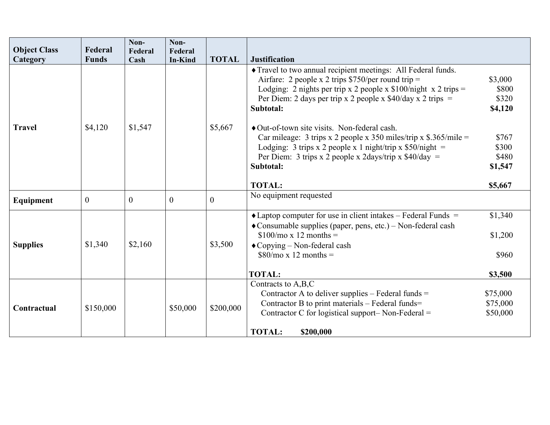|                                 | Federal        | Non-            | Non-                      |                |                                                                                                                                                                                                                                                                            |                                               |
|---------------------------------|----------------|-----------------|---------------------------|----------------|----------------------------------------------------------------------------------------------------------------------------------------------------------------------------------------------------------------------------------------------------------------------------|-----------------------------------------------|
| <b>Object Class</b><br>Category | <b>Funds</b>   | Federal<br>Cash | Federal<br><b>In-Kind</b> | <b>TOTAL</b>   | <b>Justification</b>                                                                                                                                                                                                                                                       |                                               |
|                                 |                |                 |                           |                | Travel to two annual recipient meetings: All Federal funds.<br>Airfare: 2 people x 2 trips $$750/per$ round trip =<br>Lodging: 2 nights per trip x 2 people x $$100/night \ x 2 trips =$<br>Per Diem: 2 days per trip x 2 people x $$40/day \times 2$ trips =<br>Subtotal: | \$3,000<br>\$800<br>\$320<br>\$4,120          |
| <b>Travel</b>                   | \$4,120        | \$1,547         |                           | \$5,667        | • Out-of-town site visits. Non-federal cash.<br>Car mileage: 3 trips x 2 people x 350 miles/trip x $$.365/mile =$<br>Lodging: 3 trips x 2 people x 1 night/trip x $$50/night =$<br>Per Diem: 3 trips x 2 people x 2days/trip x $$40/day =$<br>Subtotal:<br><b>TOTAL:</b>   | \$767<br>\$300<br>\$480<br>\$1,547<br>\$5,667 |
| Equipment                       | $\overline{0}$ | $\mathbf{0}$    | $\overline{0}$            | $\overline{0}$ | No equipment requested                                                                                                                                                                                                                                                     |                                               |
| <b>Supplies</b>                 | \$1,340        | \$2,160         |                           | \$3,500        | $\triangle$ Laptop computer for use in client intakes – Federal Funds =<br>• Consumable supplies (paper, pens, etc.) – Non-federal cash<br>$$100/mo \times 12$ months =<br>◆ Copying – Non-federal cash<br>$$80/mo \times 12$ months =                                     | \$1,340<br>\$1,200<br>\$960                   |
|                                 |                |                 |                           |                | <b>TOTAL:</b>                                                                                                                                                                                                                                                              | \$3,500                                       |
| Contractual                     | \$150,000      |                 | \$50,000                  | \$200,000      | Contracts to A,B,C<br>Contractor A to deliver supplies $-$ Federal funds $=$<br>Contractor B to print materials – Federal funds=<br>Contractor C for logistical support- Non-Federal $=$<br><b>TOTAL:</b><br>\$200,000                                                     | \$75,000<br>\$75,000<br>\$50,000              |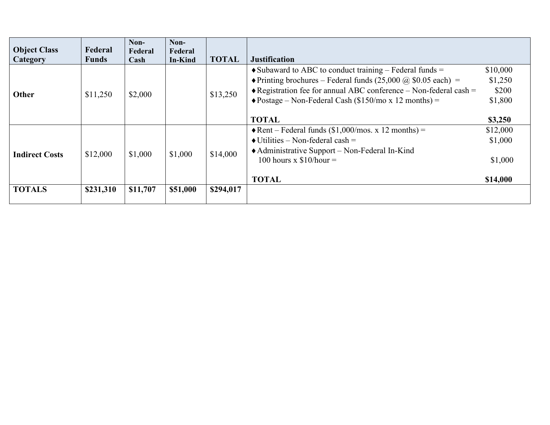| <b>Object Class</b><br>Category | Federal<br><b>Funds</b> | Non-<br>Federal<br>Cash | Non-<br>Federal<br>In-Kind | <b>TOTAL</b> | <b>Justification</b>                                                                                                                                                                                                                                                                                                  |                                                    |
|---------------------------------|-------------------------|-------------------------|----------------------------|--------------|-----------------------------------------------------------------------------------------------------------------------------------------------------------------------------------------------------------------------------------------------------------------------------------------------------------------------|----------------------------------------------------|
| Other                           | \$11,250                | \$2,000                 |                            | \$13,250     | $\bullet$ Subaward to ABC to conduct training – Federal funds =<br>• Printing brochures – Federal funds $(25,000 \text{ (a)} $0.05 \text{ each})$ =<br>$\triangle$ Registration fee for annual ABC conference – Non-federal cash =<br>$\triangle$ Postage – Non-Federal Cash (\$150/mo x 12 months) =<br><b>TOTAL</b> | \$10,000<br>\$1,250<br>\$200<br>\$1,800<br>\$3,250 |
| <b>Indirect Costs</b>           | \$12,000                | \$1,000                 | \$1,000                    | \$14,000     | $\triangle$ Rent – Federal funds (\$1,000/mos. x 12 months) =<br>$\bullet$ Utilities – Non-federal cash =<br>• Administrative Support – Non-Federal In-Kind<br>100 hours x $$10/hour =$<br><b>TOTAL</b>                                                                                                               | \$12,000<br>\$1,000<br>\$1,000<br>\$14,000         |
| <b>TOTALS</b>                   | \$231,310               | \$11,707                | \$51,000                   | \$294,017    |                                                                                                                                                                                                                                                                                                                       |                                                    |